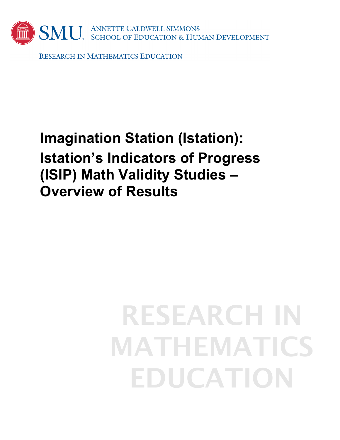

**RESEARCH IN MATHEMATICS EDUCATION** 

# **Imagination Station (Istation): Istation's Indicators of Progress (ISIP) Math Validity Studies – Overview of Results**

# **RESEARCH IN MATHEMATICS EDUCATION**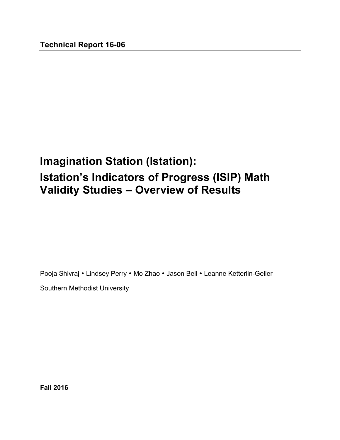## **Imagination Station (Istation): Istation's Indicators of Progress (ISIP) Math Validity Studies – Overview of Results**

Pooja Shivraj • Lindsey Perry • Mo Zhao • Jason Bell • Leanne Ketterlin-Geller

Southern Methodist University

**Fall 2016**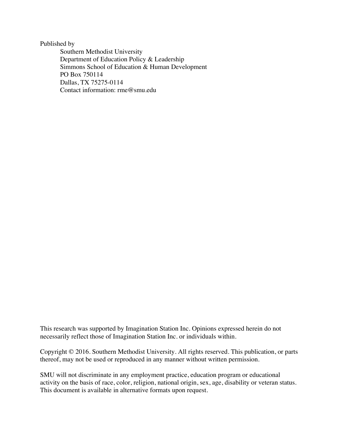Published by

Southern Methodist University Department of Education Policy & Leadership Simmons School of Education & Human Development PO Box 750114 Dallas, TX 75275-0114 Contact information: rme@smu.edu

This research was supported by Imagination Station Inc. Opinions expressed herein do not necessarily reflect those of Imagination Station Inc. or individuals within.

Copyright © 2016. Southern Methodist University. All rights reserved. This publication, or parts thereof, may not be used or reproduced in any manner without written permission.

SMU will not discriminate in any employment practice, education program or educational activity on the basis of race, color, religion, national origin, sex, age, disability or veteran status. This document is available in alternative formats upon request.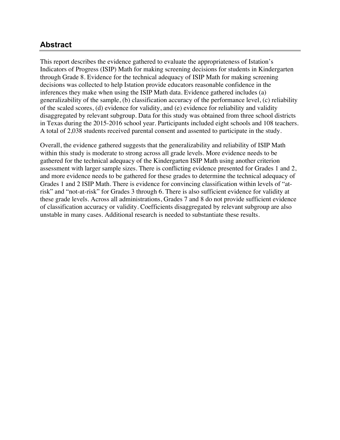#### **Abstract**

This report describes the evidence gathered to evaluate the appropriateness of Istation's Indicators of Progress (ISIP) Math for making screening decisions for students in Kindergarten through Grade 8. Evidence for the technical adequacy of ISIP Math for making screening decisions was collected to help Istation provide educators reasonable confidence in the inferences they make when using the ISIP Math data. Evidence gathered includes (a) generalizability of the sample, (b) classification accuracy of the performance level, (c) reliability of the scaled scores, (d) evidence for validity, and (e) evidence for reliability and validity disaggregated by relevant subgroup. Data for this study was obtained from three school districts in Texas during the 2015-2016 school year. Participants included eight schools and 108 teachers. A total of 2,038 students received parental consent and assented to participate in the study.

Overall, the evidence gathered suggests that the generalizability and reliability of ISIP Math within this study is moderate to strong across all grade levels. More evidence needs to be gathered for the technical adequacy of the Kindergarten ISIP Math using another criterion assessment with larger sample sizes. There is conflicting evidence presented for Grades 1 and 2, and more evidence needs to be gathered for these grades to determine the technical adequacy of Grades 1 and 2 ISIP Math. There is evidence for convincing classification within levels of "atrisk" and "not-at-risk" for Grades 3 through 6. There is also sufficient evidence for validity at these grade levels. Across all administrations, Grades 7 and 8 do not provide sufficient evidence of classification accuracy or validity. Coefficients disaggregated by relevant subgroup are also unstable in many cases. Additional research is needed to substantiate these results.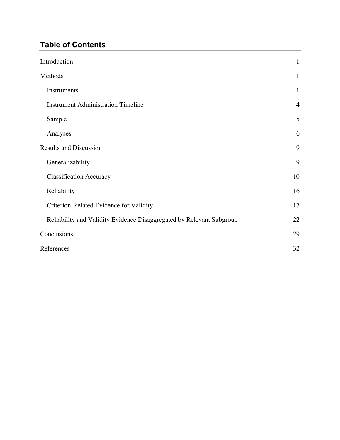## **Table of Contents**

| Introduction                                                         | $\mathbf{1}$   |
|----------------------------------------------------------------------|----------------|
| Methods                                                              | 1              |
| Instruments                                                          | $\mathbf{1}$   |
| <b>Instrument Administration Timeline</b>                            | $\overline{4}$ |
| Sample                                                               | 5              |
| Analyses                                                             | 6              |
| <b>Results and Discussion</b>                                        | 9              |
| Generalizability                                                     | 9              |
| <b>Classification Accuracy</b>                                       | 10             |
| Reliability                                                          | 16             |
| Criterion-Related Evidence for Validity                              | 17             |
| Reliability and Validity Evidence Disaggregated by Relevant Subgroup | 22             |
| Conclusions                                                          | 29             |
| References                                                           | 32             |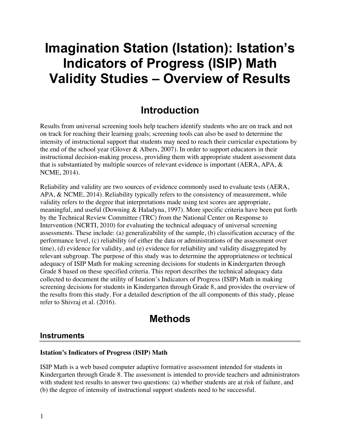# **Imagination Station (Istation): Istation's Indicators of Progress (ISIP) Math Validity Studies – Overview of Results**

## **Introduction**

Results from universal screening tools help teachers identify students who are on track and not on track for reaching their learning goals; screening tools can also be used to determine the intensity of instructional support that students may need to reach their curricular expectations by the end of the school year (Glover & Albers, 2007). In order to support educators in their instructional decision-making process, providing them with appropriate student assessment data that is substantiated by multiple sources of relevant evidence is important (AERA, APA, & NCME, 2014).

Reliability and validity are two sources of evidence commonly used to evaluate tests (AERA, APA, & NCME, 2014). Reliability typically refers to the consistency of measurement, while validity refers to the degree that interpretations made using test scores are appropriate, meaningful, and useful (Downing & Haladyna, 1997). More specific criteria have been put forth by the Technical Review Committee (TRC) from the National Center on Response to Intervention (NCRTI, 2010) for evaluating the technical adequacy of universal screening assessments. These include: (a) generalizability of the sample, (b) classification accuracy of the performance level, (c) reliability (of either the data or administrations of the assessment over time), (d) evidence for validity, and (e) evidence for reliability and validity disaggregated by relevant subgroup. The purpose of this study was to determine the appropriateness or technical adequacy of ISIP Math for making screening decisions for students in Kindergarten through Grade 8 based on these specified criteria. This report describes the technical adequacy data collected to document the utility of Istation's Indicators of Progress (ISIP) Math in making screening decisions for students in Kindergarten through Grade 8, and provides the overview of the results from this study. For a detailed description of the all components of this study, please refer to Shivraj et al. (2016).

## **Methods**

#### **Instruments**

#### **Istation's Indicators of Progress (ISIP) Math**

ISIP Math is a web based computer adaptive formative assessment intended for students in Kindergarten through Grade 8. The assessment is intended to provide teachers and administrators with student test results to answer two questions: (a) whether students are at risk of failure, and (b) the degree of intensity of instructional support students need to be successful.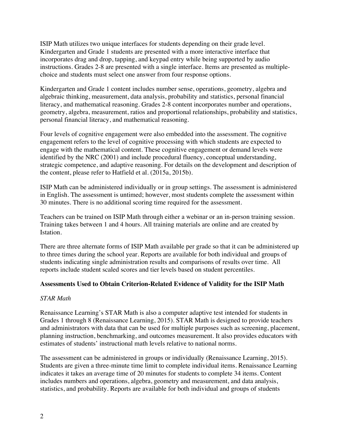ISIP Math utilizes two unique interfaces for students depending on their grade level. Kindergarten and Grade 1 students are presented with a more interactive interface that incorporates drag and drop, tapping, and keypad entry while being supported by audio instructions. Grades 2-8 are presented with a single interface. Items are presented as multiplechoice and students must select one answer from four response options.

Kindergarten and Grade 1 content includes number sense, operations, geometry, algebra and algebraic thinking, measurement, data analysis, probability and statistics, personal financial literacy, and mathematical reasoning. Grades 2-8 content incorporates number and operations, geometry, algebra, measurement, ratios and proportional relationships, probability and statistics, personal financial literacy, and mathematical reasoning.

Four levels of cognitive engagement were also embedded into the assessment. The cognitive engagement refers to the level of cognitive processing with which students are expected to engage with the mathematical content. These cognitive engagement or demand levels were identified by the NRC (2001) and include procedural fluency, conceptual understanding, strategic competence, and adaptive reasoning. For details on the development and description of the content, please refer to Hatfield et al. (2015a, 2015b).

ISIP Math can be administered individually or in group settings. The assessment is administered in English. The assessment is untimed; however, most students complete the assessment within 30 minutes. There is no additional scoring time required for the assessment.

Teachers can be trained on ISIP Math through either a webinar or an in-person training session. Training takes between 1 and 4 hours. All training materials are online and are created by Istation.

There are three alternate forms of ISIP Math available per grade so that it can be administered up to three times during the school year. Reports are available for both individual and groups of students indicating single administration results and comparisons of results over time. All reports include student scaled scores and tier levels based on student percentiles.

#### **Assessments Used to Obtain Criterion-Related Evidence of Validity for the ISIP Math**

#### *STAR Math*

Renaissance Learning's STAR Math is also a computer adaptive test intended for students in Grades 1 through 8 (Renaissance Learning, 2015). STAR Math is designed to provide teachers and administrators with data that can be used for multiple purposes such as screening, placement, planning instruction, benchmarking, and outcomes measurement. It also provides educators with estimates of students' instructional math levels relative to national norms.

The assessment can be administered in groups or individually (Renaissance Learning, 2015). Students are given a three-minute time limit to complete individual items. Renaissance Learning indicates it takes an average time of 20 minutes for students to complete 34 items. Content includes numbers and operations, algebra, geometry and measurement, and data analysis, statistics, and probability. Reports are available for both individual and groups of students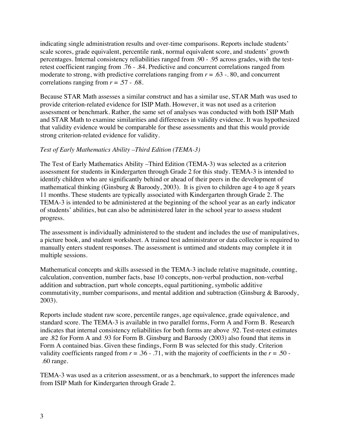indicating single administration results and over-time comparisons. Reports include students' scale scores, grade equivalent, percentile rank, normal equivalent score, and students' growth percentages. Internal consistency reliabilities ranged from .90 - .95 across grades, with the testretest coefficient ranging from .76 - .84. Predictive and concurrent correlations ranged from moderate to strong, with predictive correlations ranging from  $r = .63$  -. 80, and concurrent correlations ranging from  $r = .57 - .68$ .

Because STAR Math assesses a similar construct and has a similar use, STAR Math was used to provide criterion-related evidence for ISIP Math. However, it was not used as a criterion assessment or benchmark. Rather, the same set of analyses was conducted with both ISIP Math and STAR Math to examine similarities and differences in validity evidence. It was hypothesized that validity evidence would be comparable for these assessments and that this would provide strong criterion-related evidence for validity.

#### *Test of Early Mathematics Ability –Third Edition (TEMA-3)*

The Test of Early Mathematics Ability –Third Edition (TEMA-3) was selected as a criterion assessment for students in Kindergarten through Grade 2 for this study. TEMA-3 is intended to identify children who are significantly behind or ahead of their peers in the development of mathematical thinking (Ginsburg & Baroody, 2003). It is given to children age 4 to age 8 years 11 months. These students are typically associated with Kindergarten through Grade 2. The TEMA-3 is intended to be administered at the beginning of the school year as an early indicator of students' abilities, but can also be administered later in the school year to assess student progress.

The assessment is individually administered to the student and includes the use of manipulatives, a picture book, and student worksheet. A trained test administrator or data collector is required to manually enters student responses. The assessment is untimed and students may complete it in multiple sessions.

Mathematical concepts and skills assessed in the TEMA-3 include relative magnitude, counting, calculation, convention, number facts, base 10 concepts, non-verbal production, non-verbal addition and subtraction, part whole concepts, equal partitioning, symbolic additive commutativity, number comparisons, and mental addition and subtraction (Ginsburg & Baroody, 2003).

Reports include student raw score, percentile ranges, age equivalence, grade equivalence, and standard score. The TEMA-3 is available in two parallel forms, Form A and Form B. Research indicates that internal consistency reliabilities for both forms are above .92. Test-retest estimates are .82 for Form A and .93 for Form B. Ginsburg and Baroody (2003) also found that items in Form A contained bias. Given these findings, Form B was selected for this study. Criterion validity coefficients ranged from  $r = .36 - .71$ , with the majority of coefficients in the  $r = .50 -$ .60 range.

TEMA-3 was used as a criterion assessment, or as a benchmark, to support the inferences made from ISIP Math for Kindergarten through Grade 2.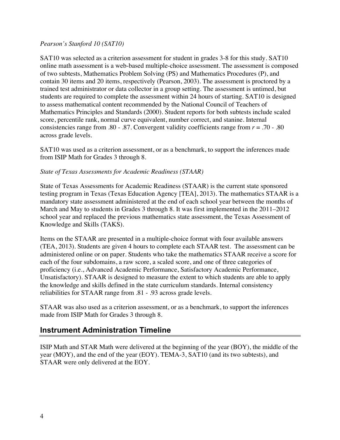#### *Pearson's Stanford 10 (SAT10)*

SAT10 was selected as a criterion assessment for student in grades 3-8 for this study. SAT10 online math assessment is a web-based multiple-choice assessment. The assessment is composed of two subtests, Mathematics Problem Solving (PS) and Mathematics Procedures (P), and contain 30 items and 20 items, respectively (Pearson, 2003). The assessment is proctored by a trained test administrator or data collector in a group setting. The assessment is untimed, but students are required to complete the assessment within 24 hours of starting. SAT10 is designed to assess mathematical content recommended by the National Council of Teachers of Mathematics Principles and Standards (2000). Student reports for both subtests include scaled score, percentile rank, normal curve equivalent, number correct, and stanine. Internal consistencies range from .80 - .87. Convergent validity coefficients range from *r* = .70 - .80 across grade levels.

SAT10 was used as a criterion assessment, or as a benchmark, to support the inferences made from ISIP Math for Grades 3 through 8.

#### *State of Texas Assessments for Academic Readiness (STAAR)*

State of Texas Assessments for Academic Readiness (STAAR) is the current state sponsored testing program in Texas (Texas Education Agency [TEA], 2013). The mathematics STAAR is a mandatory state assessment administered at the end of each school year between the months of March and May to students in Grades 3 through 8. It was first implemented in the 2011–2012 school year and replaced the previous mathematics state assessment, the Texas Assessment of Knowledge and Skills (TAKS).

Items on the STAAR are presented in a multiple-choice format with four available answers (TEA, 2013). Students are given 4 hours to complete each STAAR test. The assessment can be administered online or on paper. Students who take the mathematics STAAR receive a score for each of the four subdomains, a raw score, a scaled score, and one of three categories of proficiency (i.e., Advanced Academic Performance, Satisfactory Academic Performance, Unsatisfactory). STAAR is designed to measure the extent to which students are able to apply the knowledge and skills defined in the state curriculum standards. Internal consistency reliabilities for STAAR range from .81 - .93 across grade levels.

STAAR was also used as a criterion assessment, or as a benchmark, to support the inferences made from ISIP Math for Grades 3 through 8.

#### **Instrument Administration Timeline**

ISIP Math and STAR Math were delivered at the beginning of the year (BOY), the middle of the year (MOY), and the end of the year (EOY). TEMA-3, SAT10 (and its two subtests), and STAAR were only delivered at the EOY.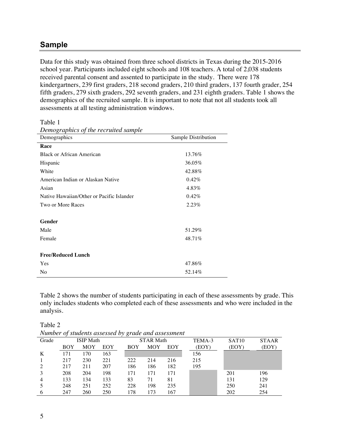#### **Sample**

Data for this study was obtained from three school districts in Texas during the 2015-2016 school year. Participants included eight schools and 108 teachers. A total of 2,038 students received parental consent and assented to participate in the study. There were 178 kindergartners, 239 first graders, 218 second graders, 210 third graders, 137 fourth grader, 254 fifth graders, 279 sixth graders, 292 seventh graders, and 231 eighth graders. Table 1 shows the demographics of the recruited sample. It is important to note that not all students took all assessments at all testing administration windows.

Table 1

| Demographics of the recruited sample      |                     |
|-------------------------------------------|---------------------|
| Demographics                              | Sample Distribution |
| Race                                      |                     |
| <b>Black or African American</b>          | 13.76%              |
| Hispanic                                  | 36.05%              |
| White                                     | 42.88%              |
| American Indian or Alaskan Native         | $0.42\%$            |
| Asian                                     | 4.83%               |
| Native Hawaiian/Other or Pacific Islander | 0.42%               |
| Two or More Races                         | 2.23%               |
|                                           |                     |
| Gender                                    |                     |
| Male                                      | 51.29%              |
| Female                                    | 48.71%              |
|                                           |                     |
| <b>Free/Reduced Lunch</b>                 |                     |
| Yes                                       | 47.86%              |
| No                                        | 52.14%              |

Table 2 shows the number of students participating in each of these assessments by grade. This only includes students who completed each of these assessments and who were included in the analysis.

*Number of students assessed by grade and assessment*

|       |     |                  |     | <i>Limnoci</i> of <i>staticitis</i> assessed by <i>franc</i> and assessment |                  |     |        |                   |              |
|-------|-----|------------------|-----|-----------------------------------------------------------------------------|------------------|-----|--------|-------------------|--------------|
| Grade |     | <b>ISIP</b> Math |     |                                                                             | <b>STAR Math</b> |     | TEMA-3 | SAT <sub>10</sub> | <b>STAAR</b> |
|       | BOY | <b>MOY</b>       | EOY | BOY                                                                         | <b>MOY</b>       | EOY | (EOY)  | (EOY)             | (EOY)        |
| K     | 171 | 170              | 163 |                                                                             |                  |     | 156    |                   |              |
|       | 217 | 230              | 221 | 222                                                                         | 214              | 216 | 215    |                   |              |
|       | 217 | 211              | 207 | 186                                                                         | 186              | 182 | 195    |                   |              |
|       | 208 | 204              | 198 | 171                                                                         | 171              | 171 |        | 201               | 196          |
|       | 133 | 134              | 133 | 83                                                                          | 71               | 81  |        | 131               | 129          |
|       | 248 | 251              | 252 | 228                                                                         | 198              | 235 |        | 250               | 241          |
| 6     | 247 | 260              | 250 | 178                                                                         | 173              | 167 |        | 202               | 254          |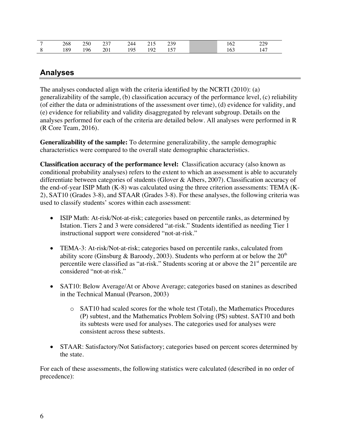| 268  | 250    | $\sim$<br>-- | 144 | <b>.</b><br>. . | 230<br>ر ب                        | --- | າາດ<br>---     |
|------|--------|--------------|-----|-----------------|-----------------------------------|-----|----------------|
| 80 I | $\sim$ | $\mathbf{A}$ | 05  | 192             | $\overline{\phantom{0}}$<br>1 J J |     | $\overline{A}$ |

### **Analyses**

The analyses conducted align with the criteria identified by the NCRTI (2010): (a) generalizability of the sample, (b) classification accuracy of the performance level, (c) reliability (of either the data or administrations of the assessment over time), (d) evidence for validity, and (e) evidence for reliability and validity disaggregated by relevant subgroup. Details on the analyses performed for each of the criteria are detailed below. All analyses were performed in R (R Core Team, 2016).

**Generalizability of the sample:** To determine generalizability, the sample demographic characteristics were compared to the overall state demographic characteristics.

**Classification accuracy of the performance level:** Classification accuracy (also known as conditional probability analyses) refers to the extent to which an assessment is able to accurately differentiate between categories of students (Glover & Albers, 2007). Classification accuracy of the end-of-year ISIP Math (K-8) was calculated using the three criterion assessments: TEMA (K-2), SAT10 (Grades 3-8), and STAAR (Grades 3-8). For these analyses, the following criteria was used to classify students' scores within each assessment:

- ISIP Math: At-risk/Not-at-risk; categories based on percentile ranks, as determined by Istation. Tiers 2 and 3 were considered "at-risk." Students identified as needing Tier 1 instructional support were considered "not-at-risk."
- TEMA-3: At-risk/Not-at-risk; categories based on percentile ranks, calculated from ability score (Ginsburg & Baroody, 2003). Students who perform at or below the  $20<sup>th</sup>$ percentile were classified as "at-risk." Students scoring at or above the 21<sup>st</sup> percentile are considered "not-at-risk."
- SAT10: Below Average/At or Above Average; categories based on stanines as described in the Technical Manual (Pearson, 2003)
	- o SAT10 had scaled scores for the whole test (Total), the Mathematics Procedures (P) subtest, and the Mathematics Problem Solving (PS) subtest. SAT10 and both its subtests were used for analyses. The categories used for analyses were consistent across these subtests.
- STAAR: Satisfactory/Not Satisfactory; categories based on percent scores determined by the state.

For each of these assessments, the following statistics were calculated (described in no order of precedence):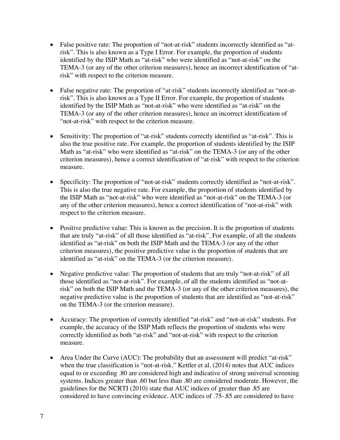- False positive rate: The proportion of "not-at-risk" students incorrectly identified as "atrisk". This is also known as a Type I Error. For example, the proportion of students identified by the ISIP Math as "at-risk" who were identified as "not-at-risk" on the TEMA-3 (or any of the other criterion measures), hence an incorrect identification of "atrisk" with respect to the criterion measure.
- False negative rate: The proportion of "at-risk" students incorrectly identified as "not-atrisk". This is also known as a Type II Error. For example, the proportion of students identified by the ISIP Math as "not-at-risk" who were identified as "at-risk" on the TEMA-3 (or any of the other criterion measures), hence an incorrect identification of "not-at-risk" with respect to the criterion measure.
- Sensitivity: The proportion of "at-risk" students correctly identified as "at-risk". This is also the true positive rate. For example, the proportion of students identified by the ISIP Math as "at-risk" who were identified as "at-risk" on the TEMA-3 (or any of the other criterion measures), hence a correct identification of "at-risk" with respect to the criterion measure.
- Specificity: The proportion of "not-at-risk" students correctly identified as "not-at-risk". This is also the true negative rate. For example, the proportion of students identified by the ISIP Math as "not-at-risk" who were identified as "not-at-risk" on the TEMA-3 (or any of the other criterion measures), hence a correct identification of "not-at-risk" with respect to the criterion measure.
- Positive predictive value: This is known as the precision. It is the proportion of students that are truly "at-risk" of all those identified as "at-risk". For example, of all the students identified as "at-risk" on both the ISIP Math and the TEMA-3 (or any of the other criterion measures), the positive predictive value is the proportion of students that are identified as "at-risk" on the TEMA-3 (or the criterion measure).
- Negative predictive value: The proportion of students that are truly "not-at-risk" of all those identified as "not-at-risk". For example, of all the students identified as "not-atrisk" on both the ISIP Math and the TEMA-3 (or any of the other criterion measures), the negative predictive value is the proportion of students that are identified as "not-at-risk" on the TEMA-3 (or the criterion measure).
- Accuracy: The proportion of correctly identified "at-risk" and "not-at-risk" students. For example, the accuracy of the ISIP Math reflects the proportion of students who were correctly identified as both "at-risk" and "not-at-risk" with respect to the criterion measure.
- Area Under the Curve (AUC): The probability that an assessment will predict "at-risk" when the true classification is "not-at-risk." Kettler et al. (2014) notes that AUC indices equal to or exceeding .80 are considered high and indicative of strong universal screening systems. Indices greater than .60 but less than .80 are considered moderate. However, the guidelines for the NCRTI (2010) state that AUC indices of greater than .85 are considered to have convincing evidence. AUC indices of .75-.85 are considered to have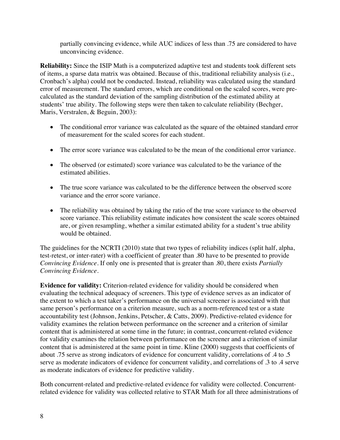partially convincing evidence, while AUC indices of less than .75 are considered to have unconvincing evidence.

**Reliability:** Since the ISIP Math is a computerized adaptive test and students took different sets of items, a sparse data matrix was obtained. Because of this, traditional reliability analysis (i.e., Cronbach's alpha) could not be conducted. Instead, reliability was calculated using the standard error of measurement. The standard errors, which are conditional on the scaled scores, were precalculated as the standard deviation of the sampling distribution of the estimated ability at students' true ability. The following steps were then taken to calculate reliability (Bechger, Maris, Verstralen, & Beguin, 2003):

- The conditional error variance was calculated as the square of the obtained standard error of measurement for the scaled scores for each student.
- The error score variance was calculated to be the mean of the conditional error variance.
- The observed (or estimated) score variance was calculated to be the variance of the estimated abilities.
- The true score variance was calculated to be the difference between the observed score variance and the error score variance.
- The reliability was obtained by taking the ratio of the true score variance to the observed score variance. This reliability estimate indicates how consistent the scale scores obtained are, or given resampling, whether a similar estimated ability for a student's true ability would be obtained.

The guidelines for the NCRTI (2010) state that two types of reliability indices (split half, alpha, test-retest, or inter-rater) with a coefficient of greater than .80 have to be presented to provide *Convincing Evidence*. If only one is presented that is greater than .80, there exists *Partially Convincing Evidence.*

**Evidence for validity:** Criterion-related evidence for validity should be considered when evaluating the technical adequacy of screeners. This type of evidence serves as an indicator of the extent to which a test taker's performance on the universal screener is associated with that same person's performance on a criterion measure, such as a norm-referenced test or a state accountability test (Johnson, Jenkins, Petscher, & Catts, 2009). Predictive-related evidence for validity examines the relation between performance on the screener and a criterion of similar content that is administered at some time in the future; in contrast, concurrent-related evidence for validity examines the relation between performance on the screener and a criterion of similar content that is administered at the same point in time. Kline (2000) suggests that coefficients of about .75 serve as strong indicators of evidence for concurrent validity, correlations of .4 to .5 serve as moderate indicators of evidence for concurrent validity, and correlations of .3 to .4 serve as moderate indicators of evidence for predictive validity.

Both concurrent-related and predictive-related evidence for validity were collected. Concurrentrelated evidence for validity was collected relative to STAR Math for all three administrations of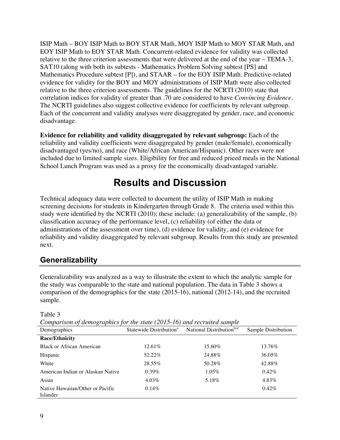ISIP Math – BOY ISIP Math to BOY STAR Math, MOY ISIP Math to MOY STAR Math, and EOY ISIP Math to EOY STAR Math. Concurrent-related evidence for validity was collected relative to the three criterion assessments that were delivered at the end of the year – TEMA-3, SAT10 (along with both its subtests - Mathematics Problem Solving subtest [PS] and Mathematics Procedure subtest [P]), and STAAR – for the EOY ISIP Math. Predictive-related evidence for validity for the BOY and MOY administrations of ISIP Math were also collected relative to the three criterion assessments. The guidelines for the NCRTI (2010) state that correlation indices for validity of greater than .70 are considered to have *Convincing Evidence*. The NCRTI guidelines also suggest collective evidence for coefficients by relevant subgroup. Each of the concurrent and validity analyses were disaggregated by gender, race, and economic disadvantage.

**Evidence for reliability and validity disaggregated by relevant subgroup:** Each of the reliability and validity coefficients were disaggregated by gender (male/female), economically disadvantaged (yes/no), and race (White/African American/Hispanic). Other races were not included due to limited sample sizes. Eligibility for free and reduced priced meals in the National School Lunch Program was used as a proxy for the economically disadvantaged variable.

## **Results and Discussion**

Technical adequacy data were collected to document the utility of ISIP Math in making screening decisions for students in Kindergarten through Grade 8. The criteria used within this study were identified by the NCRTI (2010); these include: (a) generalizability of the sample, (b) classification accuracy of the performance level, (c) reliability (of either the data or administrations of the assessment over time), (d) evidence for validity, and (e) evidence for reliability and validity disaggregated by relevant subgroup. Results from this study are presented next.

#### **Generalizability**

Generalizability was analyzed as a way to illustrate the extent to which the analytic sample for the study was comparable to the state and national population. The data in Table 3 shows a comparison of the demographics for the state (2015-16), national (2012-14), and the recruited sample.

| Comparison of demographics for the state (2015-16) and recruited sample |           |                                                                          |                     |  |  |  |  |  |  |  |
|-------------------------------------------------------------------------|-----------|--------------------------------------------------------------------------|---------------------|--|--|--|--|--|--|--|
| Demographics                                                            |           | Statewide Distribution <sup>a</sup> National Distribution <sup>bcd</sup> | Sample Distribution |  |  |  |  |  |  |  |
| <b>Race/Ethnicity</b>                                                   |           |                                                                          |                     |  |  |  |  |  |  |  |
| <b>Black or African American</b>                                        | $12.61\%$ | 15.60%                                                                   | 13.76%              |  |  |  |  |  |  |  |
| Hispanic                                                                | 52.22%    | 24.88%                                                                   | 36.05%              |  |  |  |  |  |  |  |
| White                                                                   | 28.55%    | 50.28%                                                                   | 42.88%              |  |  |  |  |  |  |  |
| American Indian or Alaskan Native                                       | $0.39\%$  | $1.05\%$                                                                 | $0.42\%$            |  |  |  |  |  |  |  |
| Asian                                                                   | $4.03\%$  | 5.18%                                                                    | 4.83%               |  |  |  |  |  |  |  |
| Native Hawaiian/Other or Pacific<br>Islander                            | $0.14\%$  |                                                                          | $0.42\%$            |  |  |  |  |  |  |  |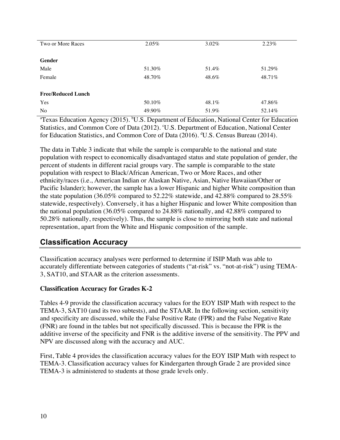| Two or More Races         | 2.05%  | 3.02% | 2.23%  |
|---------------------------|--------|-------|--------|
|                           |        |       |        |
| Gender                    |        |       |        |
| Male                      | 51.30% | 51.4% | 51.29% |
| Female                    | 48.70% | 48.6% | 48.71% |
|                           |        |       |        |
| <b>Free/Reduced Lunch</b> |        |       |        |
| Yes                       | 50.10% | 48.1% | 47.86% |
| No                        | 49.90% | 51.9% | 52.14% |

<sup>a</sup>Texas Education Agency (2015). <sup>b</sup>U.S. Department of Education, National Center for Education Statistics, and Common Core of Data (2012). 'U.S. Department of Education, National Center for Education Statistics, and Common Core of Data (2016). <sup>d</sup>U.S. Census Bureau (2014).

The data in Table 3 indicate that while the sample is comparable to the national and state population with respect to economically disadvantaged status and state population of gender, the percent of students in different racial groups vary. The sample is comparable to the state population with respect to Black/African American, Two or More Races, and other ethnicity/races (i.e., American Indian or Alaskan Native, Asian, Native Hawaiian/Other or Pacific Islander); however, the sample has a lower Hispanic and higher White composition than the state population (36.05% compared to 52.22% statewide, and 42.88% compared to 28.55% statewide, respectively). Conversely, it has a higher Hispanic and lower White composition than the national population (36.05% compared to 24.88% nationally, and 42.88% compared to 50.28% nationally, respectively). Thus, the sample is close to mirroring both state and national representation, apart from the White and Hispanic composition of the sample.

#### **Classification Accuracy**

Classification accuracy analyses were performed to determine if ISIP Math was able to accurately differentiate between categories of students ("at-risk" vs. "not-at-risk") using TEMA-3, SAT10, and STAAR as the criterion assessments.

#### **Classification Accuracy for Grades K-2**

Tables 4-9 provide the classification accuracy values for the EOY ISIP Math with respect to the TEMA-3, SAT10 (and its two subtests), and the STAAR. In the following section, sensitivity and specificity are discussed, while the False Positive Rate (FPR) and the False Negative Rate (FNR) are found in the tables but not specifically discussed. This is because the FPR is the additive inverse of the specificity and FNR is the additive inverse of the sensitivity. The PPV and NPV are discussed along with the accuracy and AUC.

First, Table 4 provides the classification accuracy values for the EOY ISIP Math with respect to TEMA-3. Classification accuracy values for Kindergarten through Grade 2 are provided since TEMA-3 is administered to students at those grade levels only.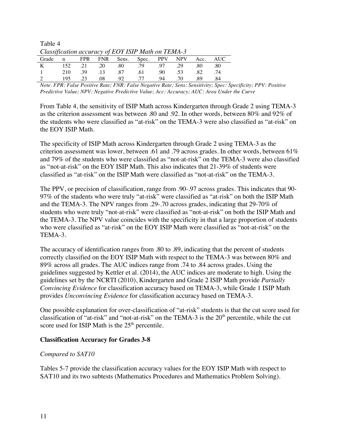Table 4 *Classification accuracy of EOY ISIP Math on TEMA-3*

|          |         |     |     |         | Grade n FPR FNR Sens. Spec. PPV NPV Acc. AUC |     |     |      |     |  |  |
|----------|---------|-----|-----|---------|----------------------------------------------|-----|-----|------|-----|--|--|
|          |         |     |     |         | K 152 .21 .20 .80 .79 .97 .29                |     |     | .80  | .80 |  |  |
| $\sim$ 1 | 210 .39 |     |     |         | $.13 \t 0.87 \t 0.61 \t 0.90$                |     | .53 | .82  | .74 |  |  |
|          | 195     | .23 | .08 | .92 .77 |                                              | .94 | .70 | - 89 | 84  |  |  |

*Note. FPR: False Positive Rate; FNR: False Negative Rate; Sens: Sensitivity; Spec: Specificity; PPV: Positive Predictive Value; NPV: Negative Predictive Value; Acc: Accuracy; AUC: Area Under the Curve*

From Table 4, the sensitivity of ISIP Math across Kindergarten through Grade 2 using TEMA-3 as the criterion assessment was between .80 and .92. In other words, between 80% and 92% of the students who were classified as "at-risk" on the TEMA-3 were also classified as "at-risk" on the EOY ISIP Math.

The specificity of ISIP Math across Kindergarten through Grade 2 using TEMA-3 as the criterion assessment was lower, between .61 and .79 across grades. In other words, between  $61\%$ and 79% of the students who were classified as "not-at-risk" on the TEMA-3 were also classified as "not-at-risk" on the EOY ISIP Math. This also indicates that 21-39% of students were classified as "at-risk" on the ISIP Math were classified as "not-at-risk" on the TEMA-3.

The PPV, or precision of classification, range from .90-.97 across grades. This indicates that 90- 97% of the students who were truly "at-risk" were classified as "at-risk" on both the ISIP Math and the TEMA-3. The NPV ranges from .29-.70 across grades, indicating that 29-70% of students who were truly "not-at-risk" were classified as "not-at-risk" on both the ISIP Math and the TEMA-3. The NPV value coincides with the specificity in that a large proportion of students who were classified as "at-risk" on the EOY ISIP Math were classified as "not-at-risk" on the TEMA-3.

The accuracy of identification ranges from .80 to .89, indicating that the percent of students correctly classified on the EOY ISIP Math with respect to the TEMA-3 was between 80% and 89% across all grades. The AUC indices range from .74 to .84 across grades. Using the guidelines suggested by Kettler et al. (2014), the AUC indices are moderate to high. Using the guidelines set by the NCRTI (2010), Kindergarten and Grade 2 ISIP Math provide *Partially Convincing Evidence* for classification accuracy based on TEMA-3, while Grade 1 ISIP Math provides *Unconvincing Evidence* for classification accuracy based on TEMA-3.

One possible explanation for over-classification of "at-risk" students is that the cut score used for classification of "at-risk" and "not-at-risk" on the TEMA-3 is the  $20<sup>th</sup>$  percentile, while the cut score used for ISIP Math is the  $25<sup>th</sup>$  percentile.

#### **Classification Accuracy for Grades 3-8**

#### *Compared to SAT10*

Tables 5-7 provide the classification accuracy values for the EOY ISIP Math with respect to SAT10 and its two subtests (Mathematics Procedures and Mathematics Problem Solving).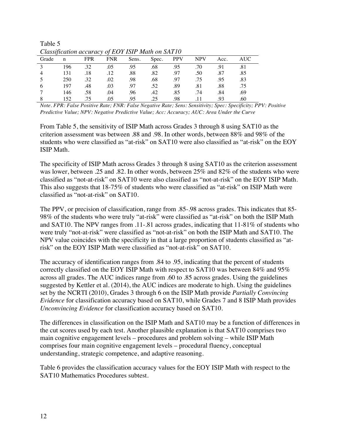| Cuassification accuracy of EOT ISIF Main on SATTU |     |            |            |       |       |            |            |      |     |  |  |
|---------------------------------------------------|-----|------------|------------|-------|-------|------------|------------|------|-----|--|--|
| Grade                                             | n   | <b>FPR</b> | <b>FNR</b> | Sens. | Spec. | <b>PPV</b> | <b>NPV</b> | Acc. | AUC |  |  |
|                                                   | 196 | .32        | .05        | .95   | .68   | .95        | .70        | .91  |     |  |  |
|                                                   | 131 | .18        | .12        | .88   | .82   | .97        | .50        | .87  | .85 |  |  |
|                                                   | 250 | .32        | .02        | .98   | .68   | .97        | .75        | .95  | .83 |  |  |
|                                                   | 197 | .48        | .03        | .97   | .52   | .89        | .81        | .88  | .75 |  |  |
|                                                   | 146 | .58        | .04        | .96   | .42   | .85        | .74        | .84  | .69 |  |  |
|                                                   | 152 | 75         | .05        | .95   | 25    | .98        | 11         | .93  | .60 |  |  |

Table 5<br>Classificati *Classification accuracy of EOY ISIP Math on SAT10*

*Note. FPR: False Positive Rate; FNR: False Negative Rate; Sens: Sensitivity; Spec: Specificity; PPV: Positive Predictive Value; NPV: Negative Predictive Value; Acc: Accuracy; AUC: Area Under the Curve*

From Table 5, the sensitivity of ISIP Math across Grades 3 through 8 using SAT10 as the criterion assessment was between .88 and .98. In other words, between 88% and 98% of the students who were classified as "at-risk" on SAT10 were also classified as "at-risk" on the EOY ISIP Math.

The specificity of ISIP Math across Grades 3 through 8 using SAT10 as the criterion assessment was lower, between .25 and .82. In other words, between 25% and 82% of the students who were classified as "not-at-risk" on SAT10 were also classified as "not-at-risk" on the EOY ISIP Math. This also suggests that 18-75% of students who were classified as "at-risk" on ISIP Math were classified as "not-at-risk" on SAT10.

The PPV, or precision of classification, range from .85-.98 across grades. This indicates that 85- 98% of the students who were truly "at-risk" were classified as "at-risk" on both the ISIP Math and SAT10. The NPV ranges from .11-.81 across grades, indicating that 11-81% of students who were truly "not-at-risk" were classified as "not-at-risk" on both the ISIP Math and SAT10. The NPV value coincides with the specificity in that a large proportion of students classified as "atrisk" on the EOY ISIP Math were classified as "not-at-risk" on SAT10.

The accuracy of identification ranges from .84 to .95, indicating that the percent of students correctly classified on the EOY ISIP Math with respect to SAT10 was between 84% and 95% across all grades. The AUC indices range from .60 to .85 across grades. Using the guidelines suggested by Kettler et al. (2014), the AUC indices are moderate to high. Using the guidelines set by the NCRTI (2010), Grades 3 through 6 on the ISIP Math provide *Partially Convincing Evidence* for classification accuracy based on SAT10, while Grades 7 and 8 ISIP Math provides *Unconvincing Evidence* for classification accuracy based on SAT10.

The differences in classification on the ISIP Math and SAT10 may be a function of differences in the cut scores used by each test. Another plausible explanation is that SAT10 comprises two main cognitive engagement levels – procedures and problem solving – while ISIP Math comprises four main cognitive engagement levels – procedural fluency, conceptual understanding, strategic competence, and adaptive reasoning.

Table 6 provides the classification accuracy values for the EOY ISIP Math with respect to the SAT10 Mathematics Procedures subtest.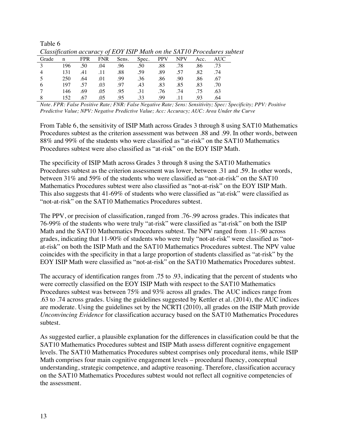| Cuissipeanon accuracy of EOT ISH Main on the SATTUT roceaures st |     |            |            |       |       |            |            |      |      |
|------------------------------------------------------------------|-----|------------|------------|-------|-------|------------|------------|------|------|
| Grade                                                            | n   | <b>FPR</b> | <b>FNR</b> | Sens. | Spec. | <b>PPV</b> | <b>NPV</b> | Acc. | AUC- |
|                                                                  | 196 | .50        | .04        | .96   | .50   | .88        | .78        | .86  | .73  |
| $\overline{4}$                                                   | 131 | .41        | .11        | .88   | .59   | .89        | .57        | .82  | .74  |
|                                                                  | 250 | .64        | .01        | .99   | .36   | .86        | .90        | .86  | .67  |
| 6                                                                | 197 | 57         | .03        | .97   | .43   | .83        | .85        | .83  | .70  |
|                                                                  | 146 | .69        | .05        | .95   | .31   | .76        | .74        | .75  | .63  |
|                                                                  | 152 | .67        | .05        | .95   | .33   | .99        | 11         | 93   | .64  |

Table 6 *Classification accuracy of EOY ISIP Math on the SAT10 Procedures subtest*

*Note. FPR: False Positive Rate; FNR: False Negative Rate; Sens: Sensitivity; Spec: Specificity; PPV: Positive Predictive Value; NPV: Negative Predictive Value; Acc: Accuracy; AUC: Area Under the Curve*

From Table 6, the sensitivity of ISIP Math across Grades 3 through 8 using SAT10 Mathematics Procedures subtest as the criterion assessment was between .88 and .99. In other words, between 88% and 99% of the students who were classified as "at-risk" on the SAT10 Mathematics Procedures subtest were also classified as "at-risk" on the EOY ISIP Math.

The specificity of ISIP Math across Grades 3 through 8 using the SAT10 Mathematics Procedures subtest as the criterion assessment was lower, between .31 and .59. In other words, between 31% and 59% of the students who were classified as "not-at-risk" on the SAT10 Mathematics Procedures subtest were also classified as "not-at-risk" on the EOY ISIP Math. This also suggests that 41-69% of students who were classified as "at-risk" were classified as "not-at-risk" on the SAT10 Mathematics Procedures subtest.

The PPV, or precision of classification, ranged from .76-.99 across grades. This indicates that 76-99% of the students who were truly "at-risk" were classified as "at-risk" on both the ISIP Math and the SAT10 Mathematics Procedures subtest. The NPV ranged from .11-.90 across grades, indicating that 11-90% of students who were truly "not-at-risk" were classified as "notat-risk" on both the ISIP Math and the SAT10 Mathematics Procedures subtest. The NPV value coincides with the specificity in that a large proportion of students classified as "at-risk" by the EOY ISIP Math were classified as "not-at-risk" on the SAT10 Mathematics Procedures subtest.

The accuracy of identification ranges from .75 to .93, indicating that the percent of students who were correctly classified on the EOY ISIP Math with respect to the SAT10 Mathematics Procedures subtest was between 75% and 93% across all grades. The AUC indices range from .63 to .74 across grades. Using the guidelines suggested by Kettler et al. (2014), the AUC indices are moderate. Using the guidelines set by the NCRTI (2010), all grades on the ISIP Math provide *Unconvincing Evidence* for classification accuracy based on the SAT10 Mathematics Procedures subtest.

As suggested earlier, a plausible explanation for the differences in classification could be that the SAT10 Mathematics Procedures subtest and ISIP Math assess different cognitive engagement levels. The SAT10 Mathematics Procedures subtest comprises only procedural items, while ISIP Math comprises four main cognitive engagement levels – procedural fluency, conceptual understanding, strategic competence, and adaptive reasoning. Therefore, classification accuracy on the SAT10 Mathematics Procedures subtest would not reflect all cognitive competencies of the assessment.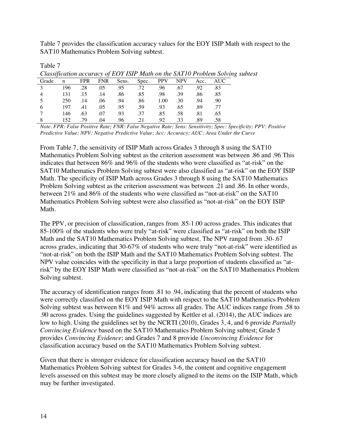Table 7 provides the classification accuracy values for the EOY ISIP Math with respect to the SAT10 Mathematics Problem Solving subtest.

|                |             |            |            |       |       |            |            |      | Classification accuracy of EOY ISIP Math on the SAT10 Problem Solving subtest |  |
|----------------|-------------|------------|------------|-------|-------|------------|------------|------|-------------------------------------------------------------------------------|--|
| Grade          | $\mathbf n$ | <b>FPR</b> | <b>FNR</b> | Sens. | Spec. | <b>PPV</b> | <b>NPV</b> | Acc. | <b>AUC</b>                                                                    |  |
|                | 196         | .28        | .05        | .95   | .72   | .96        | .67        | .92  | .83                                                                           |  |
| $\overline{4}$ | 131         | .15        | .14        | .86   | .85   | .98        | .39        | .86  | .85                                                                           |  |
|                | 250         | .14        | .06        | .94   | .86   | 1.00       | .30        | .94  | .90                                                                           |  |
| 6              | 197         | .41        | .05        | .95   | .59   | .93        | .65        | .89  | .77                                                                           |  |
|                | 146         | .63        | .07        | .93   | .37   | .85        | .58        | .81  | .65                                                                           |  |
|                | 152         | 79         | .04        | .96   | 21    | .92        | .33        | .89  | .58                                                                           |  |

*Note. FPR: False Positive Rate; FNR: False Negative Rate; Sens: Sensitivity; Spec: Specificity; PPV: Positive Predictive Value; NPV: Negative Predictive Value; Acc: Accuracy; AUC: Area Under the Curve*

From Table 7, the sensitivity of ISIP Math across Grades 3 through 8 using the SAT10 Mathematics Problem Solving subtest as the criterion assessment was between .86 and .96 This indicates that between 86% and 96% of the students who were classified as "at-risk" on the SAT10 Mathematics Problem Solving subtest were also classified as "at-risk" on the EOY ISIP Math. The specificity of ISIP Math across Grades 3 through 8 using the SAT10 Mathematics Problem Solving subtest as the criterion assessment was between .21 and .86. In other words, between 21% and 86% of the students who were classified as "not-at-risk" on the SAT10 Mathematics Problem Solving subtest were also classified as "not-at-risk" on the EOY ISIP Math.

The PPV, or precision of classification, ranges from .85-1.00 across grades. This indicates that 85-100% of the students who were truly "at-risk" were classified as "at-risk" on both the ISIP Math and the SAT10 Mathematics Problem Solving subtest. The NPV ranged from .30-.67 across grades, indicating that 30-67% of students who were truly "not-at-risk" were identified as "not-at-risk" on both the ISIP Math and the SAT10 Mathematics Problem Solving subtest. The NPV value coincides with the specificity in that a large proportion of students classified as "atrisk" by the EOY ISIP Math were classified as "not-at-risk" on the SAT10 Mathematics Problem Solving subtest.

The accuracy of identification ranges from .81 to .94, indicating that the percent of students who were correctly classified on the EOY ISIP Math with respect to the SAT10 Mathematics Problem Solving subtest was between 81% and 94% across all grades. The AUC indices range from .58 to .90 across grades. Using the guidelines suggested by Kettler et al. (2014), the AUC indices are low to high. Using the guidelines set by the NCRTI (2010), Grades 3, 4, and 6 provide *Partially Convincing Evidence* based on the SAT10 Mathematics Problem Solving subtest; Grade 5 provides *Convincing Evidence*; and Grades 7 and 8 provide *Unconvincing Evidence* for classification accuracy based on the SAT10 Mathematics Problem Solving subtest.

Given that there is stronger evidence for classification accuracy based on the SAT10 Mathematics Problem Solving subtest for Grades 3-6, the content and cognitive engagement levels assessed on this subtest may be more closely aligned to the items on the ISIP Math, which may be further investigated.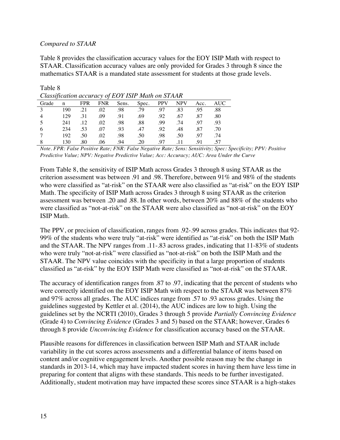#### *Compared to STAAR*

Table 8 provides the classification accuracy values for the EOY ISIP Math with respect to STAAR. Classification accuracy values are only provided for Grades 3 through 8 since the mathematics STAAR is a mandated state assessment for students at those grade levels.

|       | Cassification accuracy of EOT TSH THan on STILLIN |            |            |       |       |            |            |      |            |  |  |
|-------|---------------------------------------------------|------------|------------|-------|-------|------------|------------|------|------------|--|--|
| Grade | n                                                 | <b>FPR</b> | <b>FNR</b> | Sens. | Spec. | <b>PPV</b> | <b>NPV</b> | Acc. | <b>AUC</b> |  |  |
| -3    | 190                                               | .21        | .02        | .98   | .79   | .97        | .83        | .95  | .88        |  |  |
|       | 129                                               | .31        | .09        | .91   | .69   | .92        | .67        | .87  | .80        |  |  |
|       | 241                                               | .12        | .02        | .98   | .88   | .99        | .74        | .97  | .93        |  |  |
| 6     | 234                                               | .53        | .07        | .93   | .47   | .92        | .48        | .87  | .70        |  |  |
|       | 192                                               | .50        | .02        | .98   | .50   | .98        | .50        | .97  | .74        |  |  |
|       | 130                                               | 80         | .06        | .94   | .20   | 97         | -11        | 91   | .57        |  |  |

Table 8 *Classification accuracy of EOY ISIP Math on STAAR*

*Note. FPR: False Positive Rate; FNR: False Negative Rate; Sens: Sensitivity; Spec: Specificity; PPV: Positive Predictive Value; NPV: Negative Predictive Value; Acc: Accuracy; AUC: Area Under the Curve*

From Table 8, the sensitivity of ISIP Math across Grades 3 through 8 using STAAR as the criterion assessment was between .91 and .98. Therefore, between 91% and 98% of the students who were classified as "at-risk" on the STAAR were also classified as "at-risk" on the EOY ISIP Math. The specificity of ISIP Math across Grades 3 through 8 using STAAR as the criterion assessment was between .20 and .88. In other words, between 20% and 88% of the students who were classified as "not-at-risk" on the STAAR were also classified as "not-at-risk" on the EOY ISIP Math.

The PPV, or precision of classification, ranges from .92-.99 across grades. This indicates that 92- 99% of the students who were truly "at-risk" were identified as "at-risk" on both the ISIP Math and the STAAR. The NPV ranges from .11-.83 across grades, indicating that 11-83% of students who were truly "not-at-risk" were classified as "not-at-risk" on both the ISIP Math and the STAAR. The NPV value coincides with the specificity in that a large proportion of students classified as "at-risk" by the EOY ISIP Math were classified as "not-at-risk" on the STAAR.

The accuracy of identification ranges from .87 to .97, indicating that the percent of students who were correctly identified on the EOY ISIP Math with respect to the STAAR was between 87% and 97% across all grades. The AUC indices range from .57 to .93 across grades. Using the guidelines suggested by Kettler et al. (2014), the AUC indices are low to high. Using the guidelines set by the NCRTI (2010), Grades 3 through 5 provide *Partially Convincing Evidence*  (Grade 4) to *Convincing Evidence* (Grades 3 and 5) based on the STAAR; however, Grades 6 through 8 provide *Unconvincing Evidence* for classification accuracy based on the STAAR.

Plausible reasons for differences in classification between ISIP Math and STAAR include variability in the cut scores across assessments and a differential balance of items based on content and/or cognitive engagement levels. Another possible reason may be the change in standards in 2013-14, which may have impacted student scores in having them have less time in preparing for content that aligns with these standards. This needs to be further investigated. Additionally, student motivation may have impacted these scores since STAAR is a high-stakes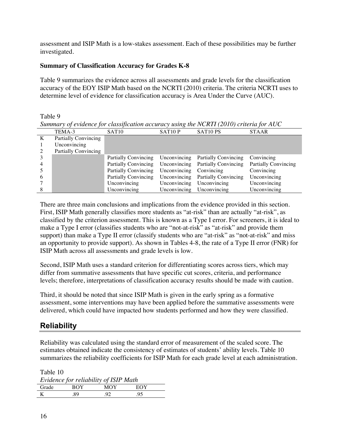assessment and ISIP Math is a low-stakes assessment. Each of these possibilities may be further investigated.

#### **Summary of Classification Accuracy for Grades K-8**

Table 9 summarizes the evidence across all assessments and grade levels for the classification accuracy of the EOY ISIP Math based on the NCRTI (2010) criteria. The criteria NCRTI uses to determine level of evidence for classification accuracy is Area Under the Curve (AUC).

#### Table 9

*Summary of evidence for classification accuracy using the NCRTI (2010) criteria for AUC*

| TEMA-3<br>SAT <sub>10</sub> P<br>SAT <sub>10</sub> PS<br>SAT <sub>10</sub><br><b>STAAR</b><br><b>Partially Convincing</b><br>K<br>Unconvincing<br><b>Partially Convincing</b><br>Unconvincing<br><b>Partially Convincing</b><br>Partially Convincing<br>Convincing<br>Unconvincing<br><b>Partially Convincing</b><br><b>Partially Convincing</b><br>Partially Convincing<br><b>Partially Convincing</b><br>Unconvincing<br>Convincing<br>Convincing<br>Unconvincing<br><b>Partially Convincing</b><br><b>Partially Convincing</b><br>Unconvincing<br>-6<br>Unconvincing<br>Unconvincing<br>Unconvincing<br>Unconvincing | $\sim$ |  |  |
|-------------------------------------------------------------------------------------------------------------------------------------------------------------------------------------------------------------------------------------------------------------------------------------------------------------------------------------------------------------------------------------------------------------------------------------------------------------------------------------------------------------------------------------------------------------------------------------------------------------------------|--------|--|--|
|                                                                                                                                                                                                                                                                                                                                                                                                                                                                                                                                                                                                                         |        |  |  |
|                                                                                                                                                                                                                                                                                                                                                                                                                                                                                                                                                                                                                         |        |  |  |
|                                                                                                                                                                                                                                                                                                                                                                                                                                                                                                                                                                                                                         |        |  |  |
|                                                                                                                                                                                                                                                                                                                                                                                                                                                                                                                                                                                                                         |        |  |  |
|                                                                                                                                                                                                                                                                                                                                                                                                                                                                                                                                                                                                                         |        |  |  |
|                                                                                                                                                                                                                                                                                                                                                                                                                                                                                                                                                                                                                         |        |  |  |
|                                                                                                                                                                                                                                                                                                                                                                                                                                                                                                                                                                                                                         |        |  |  |
|                                                                                                                                                                                                                                                                                                                                                                                                                                                                                                                                                                                                                         |        |  |  |
|                                                                                                                                                                                                                                                                                                                                                                                                                                                                                                                                                                                                                         |        |  |  |
| Unconvincing<br>Unconvincing<br>Unconvincing<br>Unconvincing                                                                                                                                                                                                                                                                                                                                                                                                                                                                                                                                                            |        |  |  |

There are three main conclusions and implications from the evidence provided in this section. First, ISIP Math generally classifies more students as "at-risk" than are actually "at-risk", as classified by the criterion assessment. This is known as a Type I error. For screeners, it is ideal to make a Type I error (classifies students who are "not-at-risk" as "at-risk" and provide them support) than make a Type II error (classify students who are "at-risk" as "not-at-risk" and miss an opportunity to provide support). As shown in Tables 4-8, the rate of a Type II error (FNR) for ISIP Math across all assessments and grade levels is low.

Second, ISIP Math uses a standard criterion for differentiating scores across tiers, which may differ from summative assessments that have specific cut scores, criteria, and performance levels; therefore, interpretations of classification accuracy results should be made with caution.

Third, it should be noted that since ISIP Math is given in the early spring as a formative assessment, some interventions may have been applied before the summative assessments were delivered, which could have impacted how students performed and how they were classified.

#### **Reliability**

Reliability was calculated using the standard error of measurement of the scaled score. The estimates obtained indicate the consistency of estimates of students' ability levels. Table 10 summarizes the reliability coefficients for ISIP Math for each grade level at each administration.

Table 10 *Evidence for reliability of ISIP Math* Grade BOY MOY EOY K .89 .92 .95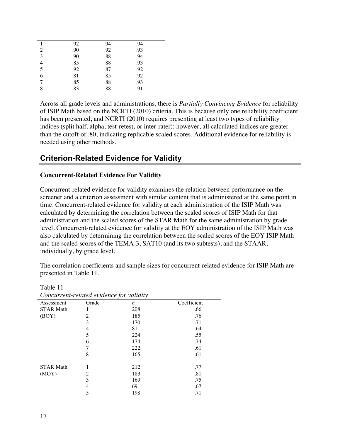|                | .92 | .94 | .94 |  |
|----------------|-----|-----|-----|--|
| 2              | .90 | .92 | .93 |  |
| $\overline{3}$ | .90 | .88 | .94 |  |
| 4              | .85 | .88 | .93 |  |
| 5              | .92 | .87 | .92 |  |
| 6              | .81 | .85 | .92 |  |
|                | .85 | .88 | .93 |  |
| 8              | .83 | .88 | .91 |  |

Across all grade levels and administrations, there is *Partially Convincing Evidence* for reliability of ISIP Math based on the NCRTI (2010) criteria. This is because only one reliability coefficient has been presented, and NCRTI (2010) requires presenting at least two types of reliability indices (split half, alpha, test-retest, or inter-rater); however, all calculated indices are greater than the cutoff of .80, indicating replicable scaled scores. Additional evidence for reliability is needed using other methods.

#### **Criterion-Related Evidence for Validity**

#### **Concurrent-Related Evidence For Validity**

Concurrent-related evidence for validity examines the relation between performance on the screener and a criterion assessment with similar content that is administered at the same point in time. Concurrent-related evidence for validity at each administration of the ISIP Math was calculated by determining the correlation between the scaled scores of ISIP Math for that administration and the scaled scores of the STAR Math for the same administration by grade level. Concurrent-related evidence for validity at the EOY administration of the ISIP Math was also calculated by determining the correlation between the scaled scores of the EOY ISIP Math and the scaled scores of the TEMA-3, SAT10 (and its two subtests), and the STAAR, individually, by grade level.

The correlation coefficients and sample sizes for concurrent-related evidence for ISIP Math are presented in Table 11.

| Concurrent-related evidence for validity |       |     |             |  |  |  |  |
|------------------------------------------|-------|-----|-------------|--|--|--|--|
| Assessment                               | Grade | n   | Coefficient |  |  |  |  |
| <b>STAR Math</b>                         |       | 208 | .66         |  |  |  |  |
| (BOY)                                    | 2     | 185 | .76         |  |  |  |  |
|                                          | 3     | 170 | .71         |  |  |  |  |
|                                          | 4     | 81  | .64         |  |  |  |  |
|                                          | 5     | 224 | .55         |  |  |  |  |
|                                          | 6     | 174 | .74         |  |  |  |  |
|                                          |       | 222 | .61         |  |  |  |  |
|                                          | 8     | 165 | .61         |  |  |  |  |
|                                          |       |     |             |  |  |  |  |
| <b>STAR Math</b>                         | 1     | 212 | .77         |  |  |  |  |
| (MOY)                                    | 2     | 183 | .81         |  |  |  |  |
|                                          | 3     | 169 | .75         |  |  |  |  |
|                                          | 4     | 69  | .67         |  |  |  |  |
|                                          | 5     | 198 | .71         |  |  |  |  |

| Table 11                                |  |  |
|-----------------------------------------|--|--|
| Concurrent related evidence for validit |  |  |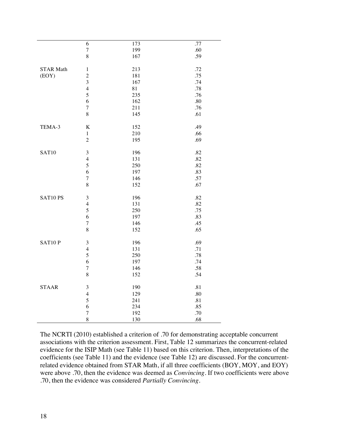| .77<br>6<br>173<br>$\sqrt{ }$<br>199<br>.60<br>8<br>.59<br>167<br><b>STAR Math</b><br>213<br>.72<br>$\,1\,$<br>$\overline{c}$<br>181<br>.75<br>(EOY)<br>3<br>167<br>.74<br>$\overline{4}$<br>81<br>.78<br>5<br>.76<br>235<br>6<br>162<br>.80<br>.76<br>$\sqrt{ }$<br>211<br>$\,$ 8 $\,$<br>145<br>.61<br>TEMA-3<br>$\rm K$<br>.49<br>152<br>210<br>.66<br>$\,1$<br>$\overline{c}$<br>195<br>.69<br><b>SAT10</b><br>$\mathfrak{Z}$<br>196<br>.82<br>$\overline{4}$<br>131<br>.82<br>5<br>250<br>.82<br>6<br>197<br>.83<br>.57<br>$\sqrt{ }$<br>146<br>8<br>152<br>.67<br>.82<br>SAT10 PS<br>3<br>196<br>$\overline{4}$<br>131<br>.82<br>5<br>250<br>.75<br>197<br>6<br>.83<br>$\boldsymbol{7}$<br>146<br>.45<br>$\,$ 8 $\,$<br>152<br>.65<br>SAT10P<br>$\mathfrak{Z}$<br>196<br>.69<br>131<br>.71<br>$\overline{4}$<br>5<br>.78<br>250<br>6<br>197<br>.74<br>.58<br>$\sqrt{ }$<br>146<br>$\,8\,$<br>152<br>.54<br><b>STAAR</b><br>3<br>190<br>.81<br>$\overline{\mathcal{L}}$<br>129<br>.80<br>5<br>241<br>.81<br>6<br>234<br>.85<br>$\sqrt{ }$<br>192<br>.70<br>8<br>.68<br>130 |  |  |
|---------------------------------------------------------------------------------------------------------------------------------------------------------------------------------------------------------------------------------------------------------------------------------------------------------------------------------------------------------------------------------------------------------------------------------------------------------------------------------------------------------------------------------------------------------------------------------------------------------------------------------------------------------------------------------------------------------------------------------------------------------------------------------------------------------------------------------------------------------------------------------------------------------------------------------------------------------------------------------------------------------------------------------------------------------------------------------|--|--|
|                                                                                                                                                                                                                                                                                                                                                                                                                                                                                                                                                                                                                                                                                                                                                                                                                                                                                                                                                                                                                                                                                 |  |  |
|                                                                                                                                                                                                                                                                                                                                                                                                                                                                                                                                                                                                                                                                                                                                                                                                                                                                                                                                                                                                                                                                                 |  |  |
|                                                                                                                                                                                                                                                                                                                                                                                                                                                                                                                                                                                                                                                                                                                                                                                                                                                                                                                                                                                                                                                                                 |  |  |
|                                                                                                                                                                                                                                                                                                                                                                                                                                                                                                                                                                                                                                                                                                                                                                                                                                                                                                                                                                                                                                                                                 |  |  |
|                                                                                                                                                                                                                                                                                                                                                                                                                                                                                                                                                                                                                                                                                                                                                                                                                                                                                                                                                                                                                                                                                 |  |  |
|                                                                                                                                                                                                                                                                                                                                                                                                                                                                                                                                                                                                                                                                                                                                                                                                                                                                                                                                                                                                                                                                                 |  |  |
|                                                                                                                                                                                                                                                                                                                                                                                                                                                                                                                                                                                                                                                                                                                                                                                                                                                                                                                                                                                                                                                                                 |  |  |
|                                                                                                                                                                                                                                                                                                                                                                                                                                                                                                                                                                                                                                                                                                                                                                                                                                                                                                                                                                                                                                                                                 |  |  |
|                                                                                                                                                                                                                                                                                                                                                                                                                                                                                                                                                                                                                                                                                                                                                                                                                                                                                                                                                                                                                                                                                 |  |  |
|                                                                                                                                                                                                                                                                                                                                                                                                                                                                                                                                                                                                                                                                                                                                                                                                                                                                                                                                                                                                                                                                                 |  |  |
|                                                                                                                                                                                                                                                                                                                                                                                                                                                                                                                                                                                                                                                                                                                                                                                                                                                                                                                                                                                                                                                                                 |  |  |
|                                                                                                                                                                                                                                                                                                                                                                                                                                                                                                                                                                                                                                                                                                                                                                                                                                                                                                                                                                                                                                                                                 |  |  |
|                                                                                                                                                                                                                                                                                                                                                                                                                                                                                                                                                                                                                                                                                                                                                                                                                                                                                                                                                                                                                                                                                 |  |  |
|                                                                                                                                                                                                                                                                                                                                                                                                                                                                                                                                                                                                                                                                                                                                                                                                                                                                                                                                                                                                                                                                                 |  |  |
|                                                                                                                                                                                                                                                                                                                                                                                                                                                                                                                                                                                                                                                                                                                                                                                                                                                                                                                                                                                                                                                                                 |  |  |
|                                                                                                                                                                                                                                                                                                                                                                                                                                                                                                                                                                                                                                                                                                                                                                                                                                                                                                                                                                                                                                                                                 |  |  |
|                                                                                                                                                                                                                                                                                                                                                                                                                                                                                                                                                                                                                                                                                                                                                                                                                                                                                                                                                                                                                                                                                 |  |  |
|                                                                                                                                                                                                                                                                                                                                                                                                                                                                                                                                                                                                                                                                                                                                                                                                                                                                                                                                                                                                                                                                                 |  |  |
|                                                                                                                                                                                                                                                                                                                                                                                                                                                                                                                                                                                                                                                                                                                                                                                                                                                                                                                                                                                                                                                                                 |  |  |
|                                                                                                                                                                                                                                                                                                                                                                                                                                                                                                                                                                                                                                                                                                                                                                                                                                                                                                                                                                                                                                                                                 |  |  |
|                                                                                                                                                                                                                                                                                                                                                                                                                                                                                                                                                                                                                                                                                                                                                                                                                                                                                                                                                                                                                                                                                 |  |  |
|                                                                                                                                                                                                                                                                                                                                                                                                                                                                                                                                                                                                                                                                                                                                                                                                                                                                                                                                                                                                                                                                                 |  |  |
|                                                                                                                                                                                                                                                                                                                                                                                                                                                                                                                                                                                                                                                                                                                                                                                                                                                                                                                                                                                                                                                                                 |  |  |
|                                                                                                                                                                                                                                                                                                                                                                                                                                                                                                                                                                                                                                                                                                                                                                                                                                                                                                                                                                                                                                                                                 |  |  |
|                                                                                                                                                                                                                                                                                                                                                                                                                                                                                                                                                                                                                                                                                                                                                                                                                                                                                                                                                                                                                                                                                 |  |  |
|                                                                                                                                                                                                                                                                                                                                                                                                                                                                                                                                                                                                                                                                                                                                                                                                                                                                                                                                                                                                                                                                                 |  |  |
|                                                                                                                                                                                                                                                                                                                                                                                                                                                                                                                                                                                                                                                                                                                                                                                                                                                                                                                                                                                                                                                                                 |  |  |
|                                                                                                                                                                                                                                                                                                                                                                                                                                                                                                                                                                                                                                                                                                                                                                                                                                                                                                                                                                                                                                                                                 |  |  |
|                                                                                                                                                                                                                                                                                                                                                                                                                                                                                                                                                                                                                                                                                                                                                                                                                                                                                                                                                                                                                                                                                 |  |  |
|                                                                                                                                                                                                                                                                                                                                                                                                                                                                                                                                                                                                                                                                                                                                                                                                                                                                                                                                                                                                                                                                                 |  |  |
|                                                                                                                                                                                                                                                                                                                                                                                                                                                                                                                                                                                                                                                                                                                                                                                                                                                                                                                                                                                                                                                                                 |  |  |
|                                                                                                                                                                                                                                                                                                                                                                                                                                                                                                                                                                                                                                                                                                                                                                                                                                                                                                                                                                                                                                                                                 |  |  |
|                                                                                                                                                                                                                                                                                                                                                                                                                                                                                                                                                                                                                                                                                                                                                                                                                                                                                                                                                                                                                                                                                 |  |  |
|                                                                                                                                                                                                                                                                                                                                                                                                                                                                                                                                                                                                                                                                                                                                                                                                                                                                                                                                                                                                                                                                                 |  |  |
|                                                                                                                                                                                                                                                                                                                                                                                                                                                                                                                                                                                                                                                                                                                                                                                                                                                                                                                                                                                                                                                                                 |  |  |
|                                                                                                                                                                                                                                                                                                                                                                                                                                                                                                                                                                                                                                                                                                                                                                                                                                                                                                                                                                                                                                                                                 |  |  |
|                                                                                                                                                                                                                                                                                                                                                                                                                                                                                                                                                                                                                                                                                                                                                                                                                                                                                                                                                                                                                                                                                 |  |  |
|                                                                                                                                                                                                                                                                                                                                                                                                                                                                                                                                                                                                                                                                                                                                                                                                                                                                                                                                                                                                                                                                                 |  |  |
|                                                                                                                                                                                                                                                                                                                                                                                                                                                                                                                                                                                                                                                                                                                                                                                                                                                                                                                                                                                                                                                                                 |  |  |
|                                                                                                                                                                                                                                                                                                                                                                                                                                                                                                                                                                                                                                                                                                                                                                                                                                                                                                                                                                                                                                                                                 |  |  |
|                                                                                                                                                                                                                                                                                                                                                                                                                                                                                                                                                                                                                                                                                                                                                                                                                                                                                                                                                                                                                                                                                 |  |  |
|                                                                                                                                                                                                                                                                                                                                                                                                                                                                                                                                                                                                                                                                                                                                                                                                                                                                                                                                                                                                                                                                                 |  |  |
|                                                                                                                                                                                                                                                                                                                                                                                                                                                                                                                                                                                                                                                                                                                                                                                                                                                                                                                                                                                                                                                                                 |  |  |
|                                                                                                                                                                                                                                                                                                                                                                                                                                                                                                                                                                                                                                                                                                                                                                                                                                                                                                                                                                                                                                                                                 |  |  |
|                                                                                                                                                                                                                                                                                                                                                                                                                                                                                                                                                                                                                                                                                                                                                                                                                                                                                                                                                                                                                                                                                 |  |  |
|                                                                                                                                                                                                                                                                                                                                                                                                                                                                                                                                                                                                                                                                                                                                                                                                                                                                                                                                                                                                                                                                                 |  |  |

The NCRTI (2010) established a criterion of .70 for demonstrating acceptable concurrent associations with the criterion assessment. First, Table 12 summarizes the concurrent-related evidence for the ISIP Math (see Table 11) based on this criterion. Then, interpretations of the coefficients (see Table 11) and the evidence (see Table 12) are discussed. For the concurrentrelated evidence obtained from STAR Math, if all three coefficients (BOY, MOY, and EOY) were above .70, then the evidence was deemed as *Convincing.* If two coefficients were above .70, then the evidence was considered *Partially Convincing.*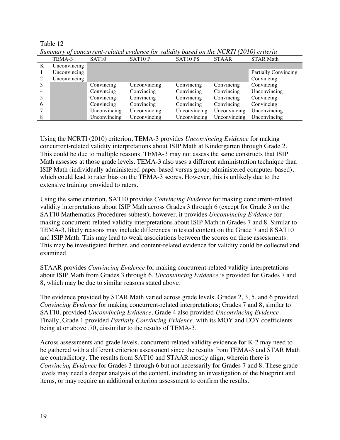|   | TEMA-3       | SAT <sub>10</sub> | SAT <sub>10</sub> P | SAT10 PS     | <b>STAAR</b> | <b>STAR Math</b>            |
|---|--------------|-------------------|---------------------|--------------|--------------|-----------------------------|
| K | Unconvincing |                   |                     |              |              |                             |
|   | Unconvincing |                   |                     |              |              | <b>Partially Convincing</b> |
|   | Unconvincing |                   |                     |              |              | Convincing                  |
|   |              | Convincing        | Unconvincing        | Convincing   | Convincing   | Convincing                  |
|   |              | Convincing        | Convincing          | Convincing   | Convincing   | Unconvincing                |
|   |              | Convincing        | Convincing          | Convincing   | Convincing   | Convincing                  |
| 6 |              | Convincing        | Convincing          | Convincing   | Convincing   | Convincing                  |
|   |              | Unconvincing      | Unconvincing        | Unconvincing | Unconvincing | Unconvincing                |
|   |              | Unconvincing      | Unconvincing        | Unconvincing | Unconvincing | Unconvincing                |

*Summary of concurrent-related evidence for validity based on the NCRTI (2010) criteria*

Using the NCRTI (2010) criterion, TEMA-3 provides *Unconvincing Evidence* for making concurrent-related validity interpretations about ISIP Math at Kindergarten through Grade 2. This could be due to multiple reasons. TEMA-3 may not assess the same constructs that ISIP Math assesses at those grade levels. TEMA-3 also uses a different administration technique than ISIP Math (individually administered paper-based versus group administered computer-based), which could lead to rater bias on the TEMA-3 scores. However, this is unlikely due to the extensive training provided to raters.

Using the same criterion, SAT10 provides *Convincing Evidence* for making concurrent-related validity interpretations about ISIP Math across Grades 3 through 6 (except for Grade 3 on the SAT10 Mathematics Procedures subtest); however, it provides *Unconvincing Evidence* for making concurrent-related validity interpretations about ISIP Math in Grades 7 and 8. Similar to TEMA-3, likely reasons may include differences in tested content on the Grade 7 and 8 SAT10 and ISIP Math. This may lead to weak associations between the scores on these assessments. This may be investigated further, and content-related evidence for validity could be collected and examined.

STAAR provides *Convincing Evidence* for making concurrent-related validity interpretations about ISIP Math from Grades 3 through 6. *Unconvincing Evidence* is provided for Grades 7 and 8, which may be due to similar reasons stated above.

The evidence provided by STAR Math varied across grade levels. Grades 2, 3, 5, and 6 provided *Convincing Evidence* for making concurrent-related interpretations; Grades 7 and 8, similar to SAT10, provided *Unconvincing Evidence*. Grade 4 also provided *Unconvincing Evidence.*  Finally, Grade 1 provided *Partially Convincing Evidence*, with its MOY and EOY coefficients being at or above .70, dissimilar to the results of TEMA-3.

Across assessments and grade levels, concurrent-related validity evidence for K-2 may need to be gathered with a different criterion assessment since the results from TEMA-3 and STAR Math are contradictory. The results from SAT10 and STAAR mostly align, wherein there is *Convincing Evidence* for Grades 3 through 6 but not necessarily for Grades 7 and 8. These grade levels may need a deeper analysis of the content, including an investigation of the blueprint and items, or may require an additional criterion assessment to confirm the results.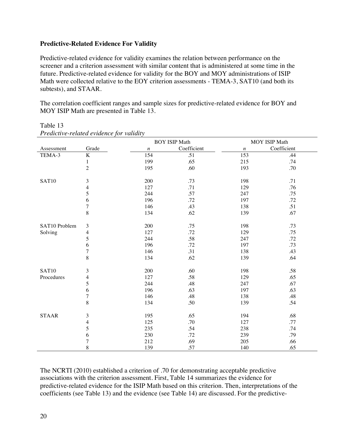#### **Predictive-Related Evidence For Validity**

Predictive-related evidence for validity examines the relation between performance on the screener and a criterion assessment with similar content that is administered at some time in the future. Predictive-related evidence for validity for the BOY and MOY administrations of ISIP Math were collected relative to the EOY criterion assessments - TEMA-3, SAT10 (and both its subtests), and STAAR.

The correlation coefficient ranges and sample sizes for predictive-related evidence for BOY and MOY ISIP Math are presented in Table 13.

|               |                |                  | <b>BOY ISIP Math</b> |                  | MOY ISIP Math |
|---------------|----------------|------------------|----------------------|------------------|---------------|
| Assessment    | Grade          | $\boldsymbol{n}$ | Coefficient          | $\boldsymbol{n}$ | Coefficient   |
| TEMA-3        | $\rm K$        | 154              | .51                  | 153              | .44           |
|               | $\mathbf{1}$   | 199              | .65                  | 215              | .74           |
|               | $\overline{2}$ | 195              | .60                  | 193              | .70           |
|               |                |                  |                      |                  |               |
| SAT10         | 3              | 200              | .73                  | 198              | .71           |
|               | 4              | 127              | .71                  | 129              | .76           |
|               | 5              | 244              | .57                  | 247              | .75           |
|               | 6              | 196              | .72                  | 197              | .72           |
|               | $\overline{7}$ | 146              | .43                  | 138              | .51           |
|               | 8              | 134              | .62                  | 139              | .67           |
| SAT10 Problem | 3              | 200              | .75                  | 198              | .73           |
| Solving       | 4              | 127              | .72                  | 129              | .75           |
|               | 5              | 244              | .58                  | 247              | .72           |
|               | 6              | 196              | .72                  | 197              | .73           |
|               | $\overline{7}$ | 146              | .31                  | 138              | .43           |
|               | 8              | 134              | .62                  | 139              | .64           |
|               |                |                  |                      |                  |               |
| SAT10         | $\mathfrak{Z}$ | 200              | .60                  | 198              | .58           |
| Procedures    | $\overline{4}$ | 127              | .58                  | 129              | .65           |
|               | 5              | 244              | .48                  | 247              | .67           |
|               | 6              | 196              | .63                  | 197              | .63           |
|               | $\tau$         | 146              | .48                  | 138              | .48           |
|               | 8              | 134              | .50                  | 139              | .54           |
| <b>STAAR</b>  | 3              | 195              | .65                  | 194              | .68           |
|               |                | 125              | .70                  | 127              | .77           |
|               | 4<br>5         | 235              | .54                  | 238              | .74           |
|               |                | 230              |                      |                  | .79           |
|               | 6<br>$\tau$    |                  | .72                  | 239              |               |
|               |                | 212              | .69                  | 205              | .66           |
|               | 8              | 139              | .57                  | 140              | .65           |

Table 13 *Predictive-related evidence for validity*

The NCRTI (2010) established a criterion of .70 for demonstrating acceptable predictive associations with the criterion assessment. First, Table 14 summarizes the evidence for predictive-related evidence for the ISIP Math based on this criterion. Then, interpretations of the coefficients (see Table 13) and the evidence (see Table 14) are discussed. For the predictive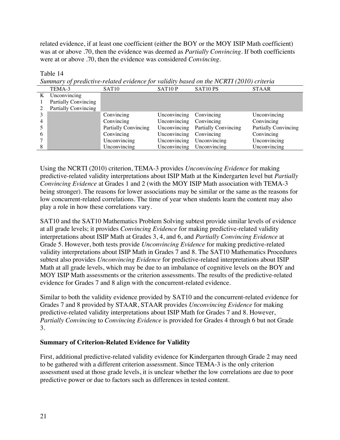related evidence, if at least one coefficient (either the BOY or the MOY ISIP Math coefficient) was at or above .70, then the evidence was deemed as *Partially Convincing.* If both coefficients were at or above .70, then the evidence was considered *Convincing.*

Table 14

| Summary of predictive-related evidence for validity based on the NCRTI (2010) criteria |  |  |
|----------------------------------------------------------------------------------------|--|--|

|                | TEMA-3                      | SAT <sub>10</sub>           | SAT10P       | SAT10 PS                    | <b>STAAR</b>                |
|----------------|-----------------------------|-----------------------------|--------------|-----------------------------|-----------------------------|
|                | Unconvincing                |                             |              |                             |                             |
|                | <b>Partially Convincing</b> |                             |              |                             |                             |
|                | Partially Convincing        |                             |              |                             |                             |
|                |                             | Convincing                  | Unconvincing | Convincing                  | Unconvincing                |
| $\overline{4}$ |                             | Convincing                  | Unconvincing | Convincing                  | Convincing                  |
|                |                             | <b>Partially Convincing</b> | Unconvincing | <b>Partially Convincing</b> | <b>Partially Convincing</b> |
| 6              |                             | Convincing                  | Unconvincing | Convincing                  | Convincing                  |
|                |                             | Unconvincing                | Unconvincing | Unconvincing                | Unconvincing                |
|                |                             | Unconvincing                | Unconvincing | Unconvincing                | Unconvincing                |

Using the NCRTI (2010) criterion, TEMA-3 provides *Unconvincing Evidence* for making predictive-related validity interpretations about ISIP Math at the Kindergarten level but *Partially Convincing Evidence* at Grades 1 and 2 (with the MOY ISIP Math association with TEMA-3 being stronger). The reasons for lower associations may be similar or the same as the reasons for low concurrent-related correlations. The time of year when students learn the content may also play a role in how these correlations vary.

SAT10 and the SAT10 Mathematics Problem Solving subtest provide similar levels of evidence at all grade levels; it provides *Convincing Evidence* for making predictive-related validity interpretations about ISIP Math at Grades 3, 4, and 6, and *Partially Convincing Evidence* at Grade 5. However, both tests provide *Unconvincing Evidence* for making predictive-related validity interpretations about ISIP Math in Grades 7 and 8. The SAT10 Mathematics Procedures subtest also provides *Unconvincing Evidence* for predictive-related interpretations about ISIP Math at all grade levels, which may be due to an imbalance of cognitive levels on the BOY and MOY ISIP Math assessments or the criterion assessments. The results of the predictive-related evidence for Grades 7 and 8 align with the concurrent-related evidence.

Similar to both the validity evidence provided by SAT10 and the concurrent-related evidence for Grades 7 and 8 provided by STAAR, STAAR provides *Unconvincing Evidence* for making predictive-related validity interpretations about ISIP Math for Grades 7 and 8. However, *Partially Convincing* to *Convincing Evidence* is provided for Grades 4 through 6 but not Grade 3.

#### **Summary of Criterion-Related Evidence for Validity**

First, additional predictive-related validity evidence for Kindergarten through Grade 2 may need to be gathered with a different criterion assessment. Since TEMA-3 is the only criterion assessment used at those grade levels, it is unclear whether the low correlations are due to poor predictive power or due to factors such as differences in tested content.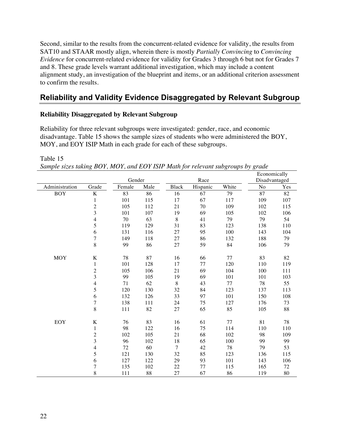Second, similar to the results from the concurrent-related evidence for validity, the results from SAT10 and STAAR mostly align, wherein there is mostly *Partially Convincing* to *Convincing Evidence* for concurrent-related evidence for validity for Grades 3 through 6 but not for Grades 7 and 8. These grade levels warrant additional investigation, which may include a content alignment study, an investigation of the blueprint and items, or an additional criterion assessment to confirm the results.

#### **Reliability and Validity Evidence Disaggregated by Relevant Subgroup**

#### **Reliability Disaggregated by Relevant Subgroup**

Reliability for three relevant subgroups were investigated: gender, race, and economic disadvantage. Table 15 shows the sample sizes of students who were administered the BOY, MOY, and EOY ISIP Math in each grade for each of these subgroups.

Table 15

*Sample sizes taking BOY, MOY, and EOY ISIP Math for relevant subgroups by grade*

|                |                         |        |      |                |          |       |               | Economically |  |
|----------------|-------------------------|--------|------|----------------|----------|-------|---------------|--------------|--|
|                |                         | Gender |      |                | Race     |       | Disadvantaged |              |  |
| Administration | Grade                   | Female | Male | <b>Black</b>   | Hispanic | White | No            | Yes          |  |
| <b>BOY</b>     | $\rm K$                 | 83     | 86   | 16             | 67       | 79    | 87            | 82           |  |
|                | $\mathbf{1}$            | 101    | 115  | 17             | 67       | 117   | 109           | 107          |  |
|                | $\overline{c}$          | 105    | 112  | 21             | 70       | 109   | 102           | 115          |  |
|                | 3                       | 101    | 107  | 19             | 69       | 105   | 102           | 106          |  |
|                | $\overline{\mathbf{4}}$ | 70     | 63   | $\,8\,$        | 41       | 79    | 79            | 54           |  |
|                | 5                       | 119    | 129  | 31             | 83       | 123   | 138           | 110          |  |
|                | 6                       | 131    | 116  | $27\,$         | 95       | 100   | 143           | 104          |  |
|                | $\overline{7}$          | 149    | 118  | 27             | 86       | 132   | 188           | 79           |  |
|                | 8                       | 99     | 86   | 27             | 59       | 84    | 106           | 79           |  |
| <b>MOY</b>     | $\bf K$                 | 78     | 87   | 16             | 66       | 77    | 83            | 82           |  |
|                | $\mathbf{1}$            | 101    | 128  | 17             | 77       | 120   | 110           | 119          |  |
|                | $\overline{c}$          | 105    | 106  | 21             | 69       | 104   | 100           | 111          |  |
|                | 3                       | 99     | 105  | 19             | 69       | 101   | 101           | 103          |  |
|                | $\overline{\mathbf{4}}$ | 71     | 62   | $\,8\,$        | 43       | 77    | 78            | 55           |  |
|                | 5                       | 120    | 130  | 32             | 84       | 123   | 137           | 113          |  |
|                | 6                       | 132    | 126  | 33             | 97       | 101   | 150           | 108          |  |
|                | $\overline{7}$          | 138    | 111  | 24             | 75       | 127   | 176           | 73           |  |
|                | 8                       | 111    | 82   | $27\,$         | 65       | 85    | 105           | 88           |  |
| <b>EOY</b>     | K                       | 76     | 83   | 16             | 61       | 77    | 81            | 78           |  |
|                | $\mathbf{1}$            | 98     | 122  | 16             | 75       | 114   | 110           | 110          |  |
|                | $\sqrt{2}$              | 102    | 105  | 21             | 68       | 102   | 98            | 109          |  |
|                | $\overline{\mathbf{3}}$ | 96     | 102  | 18             | 65       | 100   | 99            | 99           |  |
|                | $\overline{\mathbf{4}}$ | 72     | 60   | $\overline{7}$ | 42       | 78    | 79            | 53           |  |
|                | 5                       | 121    | 130  | 32             | 85       | 123   | 136           | 115          |  |
|                | 6                       | 127    | 122  | 29             | 93       | 101   | 143           | 106          |  |
|                | $\overline{7}$          | 135    | 102  | 22             | 77       | 115   | 165           | 72           |  |
|                | 8                       | 111    | 88   | 27             | 67       | 86    | 119           | 80           |  |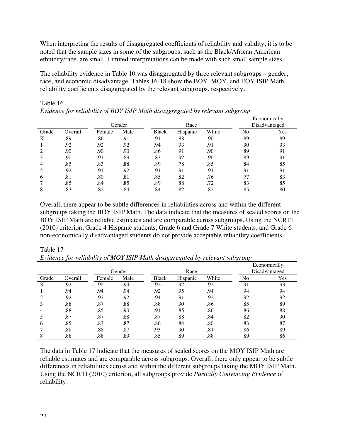When interpreting the results of disaggregated coefficients of reliability and validity, it is to be noted that the sample sizes in some of the subgroups, such as the Black/African American ethnicity/race, are small. Limited interpretations can be made with such small sample sizes.

The reliability evidence in Table 10 was disaggregated by three relevant subgroups – gender, race, and economic disadvantage. Tables 16-18 show the BOY, MOY, and EOY ISIP Math reliability coefficients disaggregated by the relevant subgroups, respectively.

|       |         |        |        |              |          |       |     | Economically  |  |
|-------|---------|--------|--------|--------------|----------|-------|-----|---------------|--|
|       |         |        | Gender |              | Race     |       |     | Disadvantaged |  |
| Grade | Overall | Female | Male   | <b>Black</b> | Hispanic | White | No  | Yes           |  |
| K     | .89     | .86    | .91    | .91          | .88      | .90   | .89 | .89           |  |
|       | .92     | .92    | .92    | .94          | .93      | .91   | .90 | .93           |  |
|       | .90     | .90    | .90    | .86          | .91      | .90   | .89 | .91           |  |
|       | .90     | .91    | .89    | .83          | .92      | .90   | .89 | .91           |  |
|       | .85     | .83    | .88    | .89          | .78      | .85   | .84 | .85           |  |
|       | .92     | .91    | .92    | .91          | .91      | .91   | .91 | .91           |  |
| b     | .81     | .80    | .81    | .85          | .82      | .76   | .77 | .83           |  |
|       | .85     | .84    | .85    | .89          | .88      | .72   | .83 | .85           |  |
|       | .83     | .82    | .84    | .84          | .82      | .82   | .85 | .80           |  |

Table 16 *Evidence for reliability of BOY ISIP Math disaggregated by relevant subgroup*

Overall, there appear to be subtle differences in reliabilities across and within the different subgroups taking the BOY ISIP Math. The data indicate that the measures of scaled scores on the BOY ISIP Math are reliable estimates and are comparable across subgroups. Using the NCRTI (2010) criterion, Grade 4 Hispanic students, Grade 6 and Grade 7 White students, and Grade 6 non-economically disadvantaged students do not provide acceptable reliability coefficients.

#### Table 17

*Evidence for reliability of MOY ISIP Math disaggregated by relevant subgroup*

|       |         |        |        |              |          |       |     | Economically  |  |
|-------|---------|--------|--------|--------------|----------|-------|-----|---------------|--|
|       |         |        | Gender |              | Race     |       |     | Disadvantaged |  |
| Grade | Overall | Female | Male   | <b>Black</b> | Hispanic | White | No  | Yes           |  |
| K     | .92     | .90    | .94    | .92          | .92      | .92   | .91 | .93           |  |
|       | .94     | .94    | .94    | .92          | .95      | .94   | .94 | .94           |  |
|       | .92     | .92    | .92    | .94          | .91      | .92   | .92 | .92           |  |
|       | .88     | .87    | .88    | .88          | .90      | .86   | .85 | .89           |  |
| 4     | .88     | .85    | .90    | .91          | .85      | .86   | .86 | .88           |  |
|       | .87     | .87    | .88    | .87          | .88      | .84   | .82 | .90           |  |
| 6     | .85     | .83    | .87    | .86          | .84      | .80   | .83 | .87           |  |
|       | .88     | .88    | .87    | .93          | .90      | .81   | .86 | .89           |  |
| 8     | .88     | .88    | .89    | .85          | .89      | .88   | .89 | .86           |  |

The data in Table 17 indicate that the measures of scaled scores on the MOY ISIP Math are reliable estimates and are comparable across subgroups. Overall, there only appear to be subtle differences in reliabilities across and within the different subgroups taking the MOY ISIP Math. Using the NCRTI (2010) criterion, all subgroups provide *Partially Convincing Evidence* of reliability.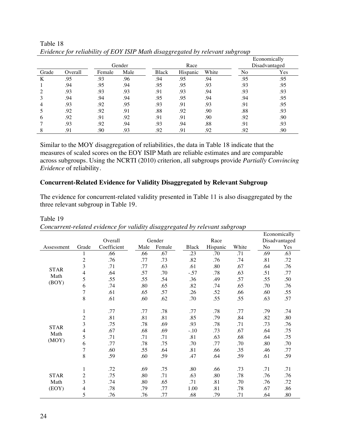|       |         |        |        |              |          |       |     | Economically  |
|-------|---------|--------|--------|--------------|----------|-------|-----|---------------|
|       |         |        | Gender |              | Race     |       |     | Disadvantaged |
| Grade | Overall | Female | Male   | <b>Black</b> | Hispanic | White | No  | Yes           |
| K     | .95     | .93    | .96    | .94          | .95      | .94   | .95 | .95           |
|       | .94     | .95    | .94    | .95          | .95      | .93   | .93 | .95           |
|       | .93     | .93    | .93    | .91          | .93      | .94   | .93 | .93           |
|       | .94     | .94    | .94    | .95          | .95      | .94   | .94 | .95           |
|       | .93     | .92    | .95    | .93          | .91      | .93   | .91 | .95           |
|       | .92     | .92    | .91    | .88          | .92      | .90   | .88 | .93           |
| b     | .92     | .91    | .92    | .91          | .91      | .90   | .92 | .90           |
|       | .93     | .92    | .94    | .93          | .94      | .88   | .91 | .93           |
|       | .91     | .90    | .93    | .92          | .91      | .92   | .92 | .90           |

Table 18 *Evidence for reliability of EOY ISIP Math disaggregated by relevant subgroup*

Similar to the MOY disaggregation of reliabilities, the data in Table 18 indicate that the measures of scaled scores on the EOY ISIP Math are reliable estimates and are comparable across subgroups. Using the NCRTI (2010) criterion, all subgroups provide *Partially Convincing Evidence* of reliability.

#### **Concurrent-Related Evidence for Validity Disaggregated by Relevant Subgroup**

The evidence for concurrent-related validity presented in Table 11 is also disaggregated by the three relevant subgroup in Table 19.

|               |                |             |      |        |              |          |       |     | Economically  |
|---------------|----------------|-------------|------|--------|--------------|----------|-------|-----|---------------|
|               |                | Overall     |      | Gender |              | Race     |       |     | Disadvantaged |
| Assessment    | Grade          | Coefficient | Male | Female | <b>Black</b> | Hispanic | White | No  | Yes           |
|               | 1              | .66         | .66  | .67    | .23          | .70      | .71   | .69 | .63           |
|               | $\sqrt{2}$     | .76         | .77  | .73    | .82          | .76      | .74   | .81 | .72           |
| <b>STAR</b>   | 3              | .71         | .77  | .63    | .61          | .80      | .67   | .64 | .76           |
| Math          | 4              | .64         | .57  | .70    | $-.57$       | .78      | .63   | .51 | .77           |
| (BOY)         | 5              | .55         | .55  | .54    | .36          | .49      | .57   | .55 | .50           |
|               | 6              | .74         | .80  | .65    | .82          | .74      | .65   | .70 | .76           |
|               | $\overline{7}$ | .61         | .65  | .57    | .26          | .52      | .66   | .60 | .55           |
|               | 8              | .61         | .60  | .62    | .70          | .55      | .55   | .63 | .57           |
|               |                |             |      |        |              |          |       |     |               |
|               | $\,1$          | .77         | .77  | .78    | .77          | .78      | .77   | .79 | .74           |
|               | $\overline{c}$ | .81         | .81  | .81    | .85          | .79      | .84   | .82 | .80           |
| <b>STAR</b>   | 3              | .75         | .78  | .69    | .93          | .78      | .71   | .73 | .76           |
|               | $\overline{4}$ | .67         | .68  | .69    | $-.10$       | .73      | .67   | .64 | .75           |
| Math<br>(MOY) | 5              | .71         | .71  | .71    | .81          | .63      | .68   | .64 | .75           |
|               | 6              | .77         | .78  | .75    | .70          | .77      | .70   | .80 | .70           |
|               | $\overline{7}$ | .60         | .55  | .64    | .81          | .66      | .35   | .46 | .77           |
|               | 8              | .59         | .60  | .59    | .47          | .64      | .59   | .61 | .59           |
|               |                |             |      |        |              |          |       |     |               |
|               | 1              | .72         | .69  | .75    | .80          | .66      | .73   | .71 | .71           |
| <b>STAR</b>   | $\overline{c}$ | .75         | .80  | .71    | .63          | .80      | .78   | .76 | .76           |
| Math          | 3              | .74         | .80  | .65    | .71          | .81      | .70   | .76 | .72           |
| (EOY)         | $\overline{4}$ | .78         | .79  | .77    | 1.00         | .81      | .78   | .67 | .86           |
|               | 5              | .76         | .76  | .77    | .68          | .79      | .71   | .64 | .80           |

*Concurrent-related evidence for validity disaggregated by relevant subgroup*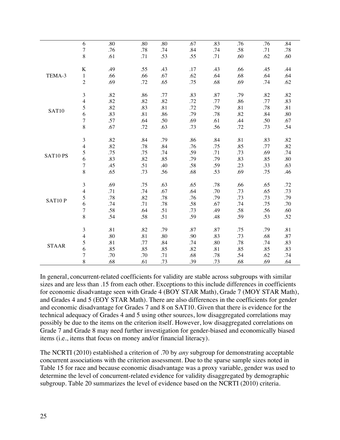|              | 6                           | .80 | .80 | .80 | .67     | .83 | .76 | .76 | .84 |
|--------------|-----------------------------|-----|-----|-----|---------|-----|-----|-----|-----|
|              | $\sqrt{ }$                  | .76 | .78 | .74 | .84     | .74 | .58 | .71 | .78 |
|              | $\,8$                       | .61 | .71 | .53 | .55     | .71 | .60 | .62 | .60 |
|              |                             |     |     |     |         |     |     |     |     |
|              | $\bf K$                     | .49 | .55 | .43 | .17     | .43 | .66 | .45 | .44 |
| TEMA-3       | $\mathbf{1}$                | .66 | .66 | .67 | .62     | .64 | .68 | .64 | .64 |
|              | $\overline{2}$              | .69 | .72 | .65 | .75     | .68 | .69 | .74 | .62 |
|              |                             |     |     |     |         |     |     |     |     |
|              | $\mathfrak{Z}$              | .82 | .86 | .77 | .83     | .87 | .79 | .82 | .82 |
|              | 4                           | .82 | .82 | .82 | .72     | .77 | .86 | .77 | .83 |
| SAT10        | 5                           | .82 | .83 | .81 | $.72\,$ | .79 | .81 | .78 | .81 |
|              | 6                           | .83 | .81 | .86 | .79     | .78 | .82 | .84 | .80 |
|              | $\overline{7}$              | .57 | .64 | .50 | .69     | .61 | .44 | .50 | .67 |
|              | 8                           | .67 | .72 | .63 | .73     | .56 | .72 | .73 | .54 |
|              | $\mathfrak{Z}$              | .82 | .84 | .79 | .86     | .84 | .81 | .83 | .82 |
|              | $\overline{4}$              | .82 | .78 | .84 | .76     | .75 | .85 | .77 | .82 |
|              | 5                           | .75 | .75 | .74 | .59     | .71 | .73 | .69 | .74 |
| SAT10 PS     | 6                           | .83 | .82 | .85 | .79     | .79 | .83 | .85 | .80 |
|              | $\sqrt{ }$                  | .45 | .51 | .40 | .58     | .59 | .23 | .33 | .63 |
|              | 8                           | .65 | .73 | .56 | .68     | .53 | .69 | .75 | .46 |
|              |                             |     |     |     |         |     |     |     |     |
|              | $\ensuremath{\mathfrak{Z}}$ | .69 | .75 | .63 | .65     | .78 | .66 | .65 | .72 |
|              | 4                           | .71 | .74 | .67 | .64     | .70 | .73 | .65 | .73 |
| SAT10P       | 5                           | .78 | .82 | .78 | .76     | .79 | .73 | .73 | .79 |
|              | 6                           | .74 | .71 | .78 | .58     | .67 | .74 | .75 | .70 |
|              | $\boldsymbol{7}$            | .58 | .64 | .51 | .73     | .49 | .58 | .56 | .60 |
|              | $\,$ 8 $\,$                 | .54 | .58 | .51 | .59     | .48 | .59 | .53 | .52 |
|              | $\mathfrak{Z}$              | .81 |     | .79 | .87     | .87 |     | .79 | .81 |
|              |                             |     | .82 |     |         |     | .75 |     |     |
|              | 4                           | .80 | .81 | .80 | .90     | .83 | .73 | .68 | .87 |
| <b>STAAR</b> | 5                           | .81 | .77 | .84 | .74     | .80 | .78 | .74 | .83 |
|              | 6                           | .85 | .85 | .85 | .82     | .81 | .85 | .85 | .83 |
|              | $\overline{7}$              | .70 | .70 | .71 | .68     | .78 | .54 | .62 | .74 |
|              | 8                           | .68 | .61 | .73 | .39     | .73 | .68 | .69 | .64 |

In general, concurrent-related coefficients for validity are stable across subgroups with similar sizes and are less than .15 from each other. Exceptions to this include differences in coefficients for economic disadvantage seen with Grade 4 (BOY STAR Math), Grade 7 (MOY STAR Math), and Grades 4 and 5 (EOY STAR Math). There are also differences in the coefficients for gender and economic disadvantage for Grades 7 and 8 on SAT10. Given that there is evidence for the technical adequacy of Grades 4 and 5 using other sources, low disaggregated correlations may possibly be due to the items on the criterion itself. However, low disaggregated correlations on Grade 7 and Grade 8 may need further investigation for gender-biased and economically biased items (i.e., items that focus on money and/or financial literacy).

The NCRTI (2010) established a criterion of .70 by *any* subgroup for demonstrating acceptable concurrent associations with the criterion assessment. Due to the sparse sample sizes noted in Table 15 for race and because economic disadvantage was a proxy variable, gender was used to determine the level of concurrent-related evidence for validity disaggregated by demographic subgroup*.* Table 20 summarizes the level of evidence based on the NCRTI (2010) criteria.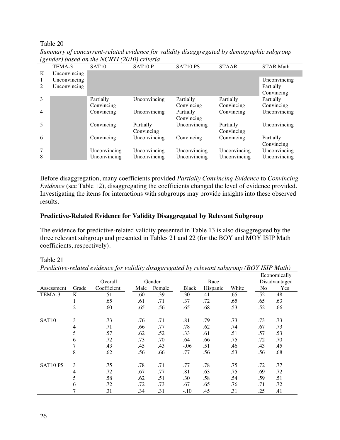#### Table 20

|   | TEMA-3       | SAT <sub>10</sub> | SAT10P       | SAT10 PS     | <b>STAAR</b> | <b>STAR Math</b> |
|---|--------------|-------------------|--------------|--------------|--------------|------------------|
| K | Unconvincing |                   |              |              |              |                  |
|   | Unconvincing |                   |              |              |              | Unconvincing     |
| 2 | Unconvincing |                   |              |              |              | Partially        |
|   |              |                   |              |              |              | Convincing       |
| 3 |              | Partially         | Unconvincing | Partially    | Partially    | Partially        |
|   |              | Convincing        |              | Convincing   | Convincing   | Convincing       |
| 4 |              | Convincing        | Unconvincing | Partially    | Convincing   | Unconvincing     |
|   |              |                   |              | Convincing   |              |                  |
| 5 |              | Convincing        | Partially    | Unconvincing | Partially    | Unconvincing     |
|   |              |                   | Convincing   |              | Convincing   |                  |
| 6 |              | Convincing        | Unconvincing | Convincing   | Convincing   | Partially        |
|   |              |                   |              |              |              | Convincing       |
| 7 |              | Unconvincing      | Unconvincing | Unconvincing | Unconvincing | Unconvincing     |
| 8 |              | Unconvincing      | Unconvincing | Unconvincing | Unconvincing | Unconvincing     |

*Summary of concurrent-related evidence for validity disaggregated by demographic subgroup (gender) based on the NCRTI (2010) criteria*

Before disaggregation, many coefficients provided *Partially Convincing Evidence* to *Convincing Evidence* (see Table 12), disaggregating the coefficients changed the level of evidence provided. Investigating the items for interactions with subgroups may provide insights into these observed results.

#### **Predictive-Related Evidence for Validity Disaggregated by Relevant Subgroup**

The evidence for predictive-related validity presented in Table 13 is also disaggregated by the three relevant subgroup and presented in Tables 21 and 22 (for the BOY and MOY ISIP Math coefficients, respectively).

|                   |                |             |      |        |        |          |       |     | Economically  |  |
|-------------------|----------------|-------------|------|--------|--------|----------|-------|-----|---------------|--|
|                   |                | Overall     |      | Gender | Race   |          |       |     | Disadvantaged |  |
| Assessment        | Grade          | Coefficient | Male | Female | Black  | Hispanic | White | No  | Yes           |  |
| TEMA-3            | K              | .51         | .60  | .39    | .30    | .41      | .65   | .52 | .48           |  |
|                   | 1              | .65         | .61  | .71    | .37    | .72      | .65   | .65 | .63           |  |
|                   | $\overline{c}$ | .60         | .65  | .56    | .65    | .68      | .53   | .52 | .66           |  |
| SAT <sub>10</sub> | 3              | .73         | .76  | .71    | .81    | .79      | .73   | .73 | .73           |  |
|                   | $\overline{4}$ | .71         | .66  | .77    | .78    | .62      | .74   | .67 | .73           |  |
|                   | 5              | .57         | .62  | .52    | .33    | .61      | .51   | .57 | .53           |  |
|                   | 6              | .72         | .73  | .70    | .64    | .66      | .75   | .72 | .70           |  |
|                   | 7              | .43         | .45  | .43    | $-.06$ | .51      | .46   | .43 | .45           |  |
|                   | 8              | .62         | .56  | .66    | .77    | .56      | .53   | .56 | .68           |  |
| SAT10 PS          | 3              | .75         | .78  | .71    | .77    | .78      | .75   | .72 | .77           |  |
|                   | 4              | .72         | .67  | .77    | .81    | .63      | .75   | .69 | .72           |  |
|                   | 5              | .58         | .62  | .51    | .30    | .58      | .54   | .59 | .51           |  |
|                   | 6              | .72         | .72  | .73    | .67    | .65      | .76   | .71 | .72           |  |
|                   | 7              | .31         | .34  | .31    | $-.10$ | .45      | .31   | .25 | .41           |  |

*Predictive-related evidence for validity disaggregated by relevant subgroup (BOY ISIP Math)*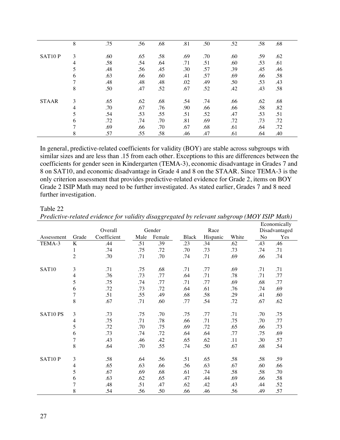|              | 8              | .75 | .56 | .68 | .81 | .50 | .52 | .58 | .68 |
|--------------|----------------|-----|-----|-----|-----|-----|-----|-----|-----|
| SAT10P       | 3              | .60 | .65 | .58 | .69 | .70 | .60 | .59 | .62 |
|              | $\overline{4}$ | .58 | .54 | .64 | .71 | .51 | .60 | .53 | .61 |
|              | 5              | .48 | .56 | .45 | .30 | .57 | .39 | .45 | .46 |
|              | 6              | .63 | .66 | .60 | .41 | .57 | .69 | .66 | .58 |
|              | $\mathbf{r}$   | .48 | .48 | .48 | .02 | .49 | .50 | .53 | .43 |
|              | 8              | .50 | .47 | .52 | .67 | .52 | .42 | .43 | .58 |
| <b>STAAR</b> | 3              | .65 | .62 | .68 | .54 | .74 | .66 | .62 | .68 |
|              | $\overline{4}$ | .70 | .67 | .76 | .90 | .66 | .66 | .58 | .82 |
|              | 5              | .54 | .53 | .55 | .51 | .52 | .47 | .53 | .51 |
|              | 6              | .72 | .74 | .70 | .81 | .69 | .72 | .73 | .72 |
|              | ⇁              | .69 | .66 | .70 | .67 | .68 | .61 | .64 | .72 |
|              | 8              | .57 | .55 | .58 | .46 | .47 | .61 | .64 | .40 |

In general, predictive-related coefficients for validity (BOY) are stable across subgroups with similar sizes and are less than .15 from each other. Exceptions to this are differences between the coefficients for gender seen in Kindergarten (TEMA-3), economic disadvantage in Grades 7 and 8 on SAT10, and economic disadvantage in Grade 4 and 8 on the STAAR. Since TEMA-3 is the only criterion assessment that provides predictive-related evidence for Grade 2, items on BOY Grade 2 ISIP Math may need to be further investigated. As stated earlier, Grades 7 and 8 need further investigation.

#### Overall Gender Race Economically Disadvantaged Assessment Grade Coefficient Male Female Black Hispanic White No Yes TEMA-3 K .44 .51 .39 .23 .34 .62 .43 .46 .74 .75 .72 .70 .73 .73 .74 .71 .70 .71 .70 .74 .71 .69 .66 .74 SAT10 3 .71 .75 .68 .71 .77 .69 .71 .71 .76 .73 .77 .64 .71 .78 .71 .77 .75 .74 .77 .71 .77 .69 .68 .77 .72 .73 .72 .64 .61 .76 .74 .69 .51 .55 .49 .68 .58 .29 .41 .60 .67 .71 .60 .77 .54 .72 .67 .62 SAT10 PS 3 .73 .75 .70 .75 .77 .71 .70 .75 .75 .71 .78 .66 .71 .75 .70 .77 .72 .70 .75 .69 .72 .65 .66 .73 .73 .74 .72 .64 .64 .77 .75 .69 .43 .46 .42 .65 .62 .11 .30 .57 .64 .70 .55 .74 .50 .67 .68 .54

SAT10 P 3 .58 .58 .64 .56 .51 .65 .58 .58 .59

 .65 .63 .66 .56 .63 .67 .60 .66 .67 .69 .68 .61 .74 .58 .58 .70 .63 .62 .65 .47 .44 .69 .66 .58 .48 .51 .47 .62 .42 .43 .44 .52 .54 .56 .50 .66 .46 .56 .49 .57

*Predictive-related evidence for validity disaggregated by relevant subgroup (MOY ISIP Math)*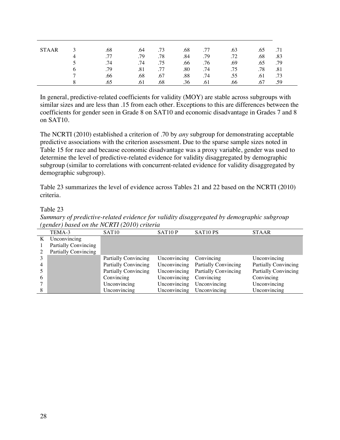| <b>STAAR</b> |   | .68 | .64 | .73 | .68 | .77 | .63 | .65 | .71 |  |
|--------------|---|-----|-----|-----|-----|-----|-----|-----|-----|--|
|              | 4 | .77 | .79 | .78 | .84 | .79 | .72 | .68 | .83 |  |
|              |   | .74 | .74 | .75 | .66 | .76 | .69 | .65 | .79 |  |
|              |   | .79 | .81 | .77 | .80 | .74 | .75 | .78 | .81 |  |
|              | − | .66 | .68 | .67 | .88 | .74 | .55 | .61 | .73 |  |
|              |   | .65 | .61 | .68 | .36 | .61 | .66 | .67 | .59 |  |

In general, predictive-related coefficients for validity (MOY) are stable across subgroups with similar sizes and are less than .15 from each other. Exceptions to this are differences between the coefficients for gender seen in Grade 8 on SAT10 and economic disadvantage in Grades 7 and 8 on SAT10.

The NCRTI (2010) established a criterion of .70 by *any* subgroup for demonstrating acceptable predictive associations with the criterion assessment. Due to the sparse sample sizes noted in Table 15 for race and because economic disadvantage was a proxy variable, gender was used to determine the level of predictive-related evidence for validity disaggregated by demographic subgroup (similar to correlations with concurrent-related evidence for validity disaggregated by demographic subgroup)*.*

Table 23 summarizes the level of evidence across Tables 21 and 22 based on the NCRTI (2010) criteria.

|   | (gender) based on the NCRTI (2010) criteria |                             |                     |                             |                             |  |  |  |  |  |  |
|---|---------------------------------------------|-----------------------------|---------------------|-----------------------------|-----------------------------|--|--|--|--|--|--|
|   | TEMA-3                                      | SAT <sub>10</sub>           | SAT <sub>10</sub> P | SAT <sub>10</sub> PS        | <b>STAAR</b>                |  |  |  |  |  |  |
| K | Unconvincing                                |                             |                     |                             |                             |  |  |  |  |  |  |
|   | <b>Partially Convincing</b>                 |                             |                     |                             |                             |  |  |  |  |  |  |
|   | <b>Partially Convincing</b>                 |                             |                     |                             |                             |  |  |  |  |  |  |
|   |                                             | <b>Partially Convincing</b> | Unconvincing        | Convincing                  | Unconvincing                |  |  |  |  |  |  |
|   |                                             | <b>Partially Convincing</b> | Unconvincing        | <b>Partially Convincing</b> | <b>Partially Convincing</b> |  |  |  |  |  |  |
|   |                                             | <b>Partially Convincing</b> | Unconvincing        | <b>Partially Convincing</b> | <b>Partially Convincing</b> |  |  |  |  |  |  |
| 6 |                                             | Convincing                  | Unconvincing        | Convincing                  | Convincing                  |  |  |  |  |  |  |
|   |                                             | Unconvincing                | Unconvincing        | Unconvincing                | Unconvincing                |  |  |  |  |  |  |
| 8 |                                             | Unconvincing                | Unconvincing        | Unconvincing                | Unconvincing                |  |  |  |  |  |  |

*Summary of predictive-related evidence for validity disaggregated by demographic subgroup*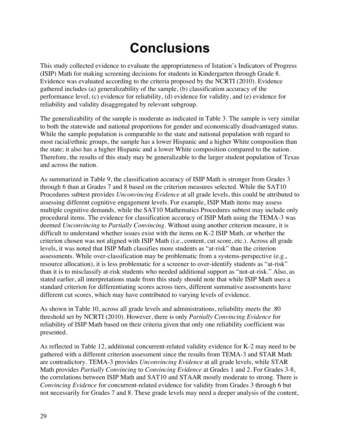# **Conclusions**

This study collected evidence to evaluate the appropriateness of Istation's Indicators of Progress (ISIP) Math for making screening decisions for students in Kindergarten through Grade 8. Evidence was evaluated according to the criteria proposed by the NCRTI (2010). Evidence gathered includes (a) generalizability of the sample, (b) classification accuracy of the performance level, (c) evidence for reliability, (d) evidence for validity, and (e) evidence for reliability and validity disaggregated by relevant subgroup.

The generalizability of the sample is moderate as indicated in Table 3. The sample is very similar to both the statewide and national proportions for gender and economically disadvantaged status. While the sample population is comparable to the state and national population with regard to most racial/ethnic groups, the sample has a lower Hispanic and a higher White composition than the state; it also has a higher Hispanic and a lower White composition compared to the nation. Therefore, the results of this study may be generalizable to the larger student population of Texas and across the nation.

As summarized in Table 9, the classification accuracy of ISIP Math is stronger from Grades 3 through 6 than at Grades 7 and 8 based on the criterion measures selected. While the SAT10 Procedures subtest provides *Unconvincing Evidence* at all grade levels, this could be attributed to assessing different cognitive engagement levels. For example, ISIP Math items may assess multiple cognitive demands, while the SAT10 Mathematics Procedures subtest may include only procedural items. The evidence for classification accuracy of ISIP Math using the TEMA-3 was deemed *Unconvincing* to *Partially Convincing*. Without using another criterion measure, it is difficult to understand whether issues exist with the items on K-2 ISIP Math, or whether the criterion chosen was not aligned with ISIP Math (i.e., content, cut score, etc.). Across all grade levels, it was noted that ISIP Math classifies more students as "at-risk" than the criterion assessments. While over-classification may be problematic from a systems-perspective (e.g., resource allocation), it is less problematic for a screener to over-identify students as "at-risk" than it is to misclassify at-risk students who needed additional support as "not-at-risk." Also, as stated earlier, all interpretations made from this study should note that while ISIP Math uses a standard criterion for differentiating scores across tiers, different summative assessments have different cut scores, which may have contributed to varying levels of evidence.

As shown in Table 10, across all grade levels and administrations, reliability meets the .80 threshold set by NCRTI (2010). However, there is only *Partially Convincing Evidence* for reliability of ISIP Math based on their criteria given that only one reliability coefficient was presented.

As reflected in Table 12, additional concurrent-related validity evidence for K-2 may need to be gathered with a different criterion assessment since the results from TEMA-3 and STAR Math are contradictory. TEMA-3 provides *Unconvincing Evidence* at all grade levels, while STAR Math provides *Partially Convincing* to *Convincing Evidence* at Grades 1 and 2. For Grades 3-8, the correlations between ISIP Math and SAT10 and STAAR mostly moderate to strong. There is *Convincing Evidence* for concurrent-related evidence for validity from Grades 3 through 6 but not necessarily for Grades 7 and 8. These grade levels may need a deeper analysis of the content,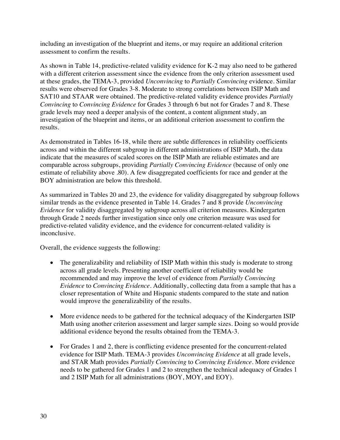including an investigation of the blueprint and items, or may require an additional criterion assessment to confirm the results.

As shown in Table 14, predictive-related validity evidence for K-2 may also need to be gathered with a different criterion assessment since the evidence from the only criterion assessment used at these grades, the TEMA-3, provided *Unconvincing* to *Partially Convincing* evidence. Similar results were observed for Grades 3-8. Moderate to strong correlations between ISIP Math and SAT10 and STAAR were obtained. The predictive-related validity evidence provides *Partially Convincing* to *Convincing Evidence* for Grades 3 through 6 but not for Grades 7 and 8. These grade levels may need a deeper analysis of the content, a content alignment study, an investigation of the blueprint and items, or an additional criterion assessment to confirm the results.

As demonstrated in Tables 16-18, while there are subtle differences in reliability coefficients across and within the different subgroup in different administrations of ISIP Math, the data indicate that the measures of scaled scores on the ISIP Math are reliable estimates and are comparable across subgroups, providing *Partially Convincing Evidence* (because of only one estimate of reliability above .80). A few disaggregated coefficients for race and gender at the BOY administration are below this threshold.

As summarized in Tables 20 and 23, the evidence for validity disaggregated by subgroup follows similar trends as the evidence presented in Table 14. Grades 7 and 8 provide *Unconvincing Evidence* for validity disaggregated by subgroup across all criterion measures. Kindergarten through Grade 2 needs further investigation since only one criterion measure was used for predictive-related validity evidence, and the evidence for concurrent-related validity is inconclusive.

Overall, the evidence suggests the following:

- The generalizability and reliability of ISIP Math within this study is moderate to strong across all grade levels. Presenting another coefficient of reliability would be recommended and may improve the level of evidence from *Partially Convincing Evidence* to *Convincing Evidence*. Additionally, collecting data from a sample that has a closer representation of White and Hispanic students compared to the state and nation would improve the generalizability of the results.
- More evidence needs to be gathered for the technical adequacy of the Kindergarten ISIP Math using another criterion assessment and larger sample sizes. Doing so would provide additional evidence beyond the results obtained from the TEMA-3.
- For Grades 1 and 2, there is conflicting evidence presented for the concurrent-related evidence for ISIP Math. TEMA-3 provides *Unconvincing Evidence* at all grade levels, and STAR Math provides *Partially Convincing* to *Convincing Evidence*. More evidence needs to be gathered for Grades 1 and 2 to strengthen the technical adequacy of Grades 1 and 2 ISIP Math for all administrations (BOY, MOY, and EOY).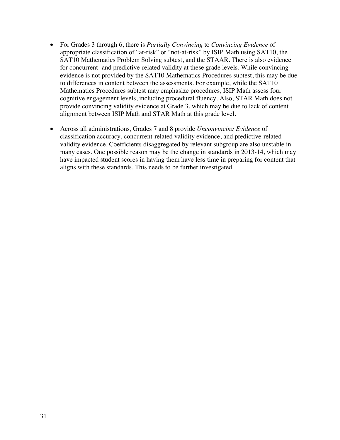- For Grades 3 through 6, there is *Partially Convincing* to *Convincing Evidence* of appropriate classification of "at-risk" or "not-at-risk" by ISIP Math using SAT10, the SAT10 Mathematics Problem Solving subtest, and the STAAR. There is also evidence for concurrent- and predictive-related validity at these grade levels. While convincing evidence is not provided by the SAT10 Mathematics Procedures subtest, this may be due to differences in content between the assessments. For example, while the SAT10 Mathematics Procedures subtest may emphasize procedures, ISIP Math assess four cognitive engagement levels, including procedural fluency. Also, STAR Math does not provide convincing validity evidence at Grade 3, which may be due to lack of content alignment between ISIP Math and STAR Math at this grade level.
- Across all administrations, Grades 7 and 8 provide *Unconvincing Evidence* of classification accuracy, concurrent-related validity evidence, and predictive-related validity evidence. Coefficients disaggregated by relevant subgroup are also unstable in many cases. One possible reason may be the change in standards in 2013-14, which may have impacted student scores in having them have less time in preparing for content that aligns with these standards. This needs to be further investigated.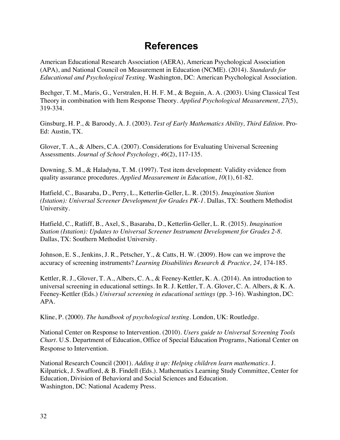## **References**

American Educational Research Association (AERA), American Psychological Association (APA), and National Council on Measurement in Education (NCME). (2014). *Standards for Educational and Psychological Testing.* Washington, DC: American Psychological Association.

Bechger, T. M., Maris, G., Verstralen, H. H. F. M., & Beguin, A. A. (2003). Using Classical Test Theory in combination with Item Response Theory. *Applied Psychological Measurement, 27*(5), 319-334.

Ginsburg, H. P., & Baroody, A. J. (2003). *Test of Early Mathematics Ability, Third Edition.* Pro-Ed: Austin, TX.

Glover, T. A., & Albers, C.A. (2007). Considerations for Evaluating Universal Screening Assessments. *Journal of School Psychology*, *46*(2), 117-135.

Downing, S. M., & Haladyna, T. M. (1997). Test item development: Validity evidence from quality assurance procedures. *Applied Measurement in Education*, *10*(1), 61-82.

Hatfield, C., Basaraba, D., Perry, L., Ketterlin-Geller, L. R. (2015). *Imagination Station (Istation): Universal Screener Development for Grades PK-1.* Dallas, TX: Southern Methodist University.

Hatfield, C., Ratliff, B., Axel, S., Basaraba, D., Ketterlin-Geller, L. R. (2015). *Imagination Station (Istation): Updates to Universal Screener Instrument Development for Grades 2-8.*  Dallas, TX: Southern Methodist University.

Johnson, E. S., Jenkins, J. R., Petscher, Y., & Catts, H. W. (2009). How can we improve the accuracy of screening instruments? *Learning Disabilities Research & Practice, 24,* 174-185.

Kettler, R. J., Glover, T. A., Albers, C. A., & Feeney-Kettler, K. A. (2014). An introduction to universal screening in educational settings. In R. J. Kettler, T. A. Glover, C. A. Albers, & K. A. Feeney-Kettler (Eds.) *Universal screening in educational settings* (pp. 3-16). Washington, DC: APA.

Kline, P. (2000). *The handbook of psychological testing.* London, UK: Routledge.

National Center on Response to Intervention. (2010). *Users guide to Universal Screening Tools Chart.* U.S. Department of Education, Office of Special Education Programs, National Center on Response to Intervention.

National Research Council (2001). *Adding it up: Helping children learn mathematics.* J. Kilpatrick, J. Swafford, & B. Findell (Eds.). Mathematics Learning Study Committee, Center for Education, Division of Behavioral and Social Sciences and Education. Washington, DC: National Academy Press.